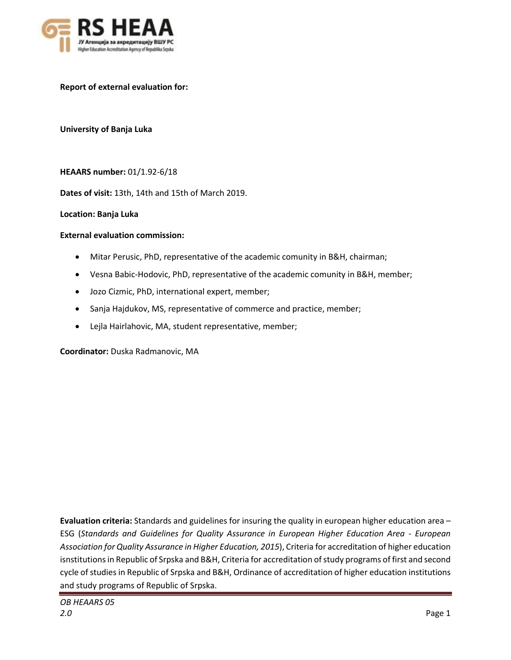

**Report of external evaluation for:**

**University of Banja Luka**

**HEAARS number:** 01/1.92-6/18

**Dates of visit:** 13th, 14th and 15th of March 2019.

**Location: Banja Luka**

#### **External evaluation commission:**

- Mitar Perusic, PhD, representative of the academic comunity in B&H, chairman;
- Vesna Babic-Hodovic, PhD, representative of the academic comunity in B&H, member;
- Jozo Cizmic, PhD, international expert, member;
- Sanja Hajdukov, MS, representative of commerce and practice, member;
- Lejla Hairlahovic, MA, student representative, member;

**Coordinator:** Duska Radmanovic, MA

**Evaluation criteria:** Standards and guidelines for insuring the quality in european higher education area – ESG (*Standards and Guidelines for Quality Assurance in European Higher Education Area - European Association for Quality Assurance in Higher Education, 2015*), Criteria for accreditation of higher education isnstitutions in Republic of Srpska and B&H, Criteria for accreditation of study programs of first and second cycle of studies in Republic of Srpska and B&H, Ordinance of accreditation of higher education institutions and study programs of Republic of Srpska.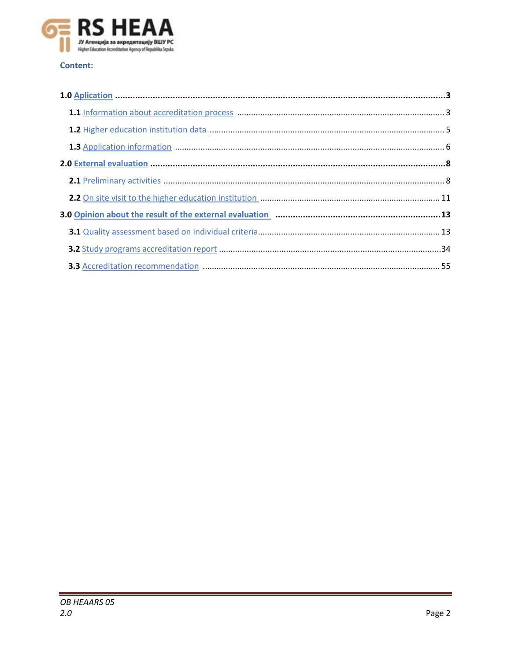

# **Content:**

| 3.0 Opinion about the result of the external evaluation manufacture manufacture about the result of the external evaluation |  |
|-----------------------------------------------------------------------------------------------------------------------------|--|
|                                                                                                                             |  |
|                                                                                                                             |  |
|                                                                                                                             |  |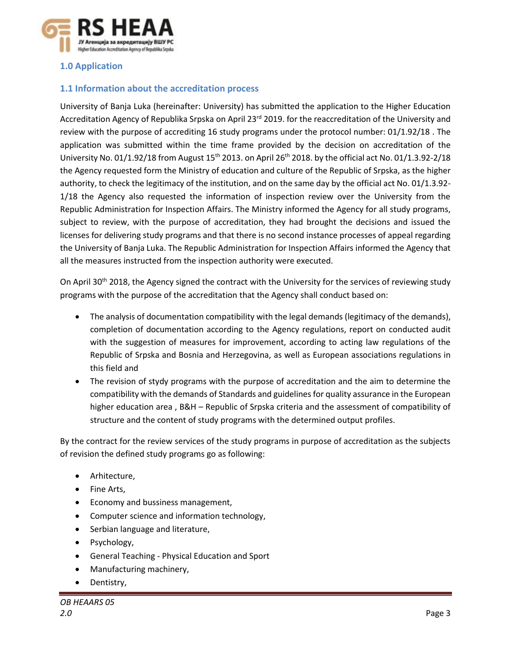

# <span id="page-2-0"></span>**1.0 Application**

# **1.1 Information about the accreditation process**

University of Banja Luka (hereinafter: University) has submitted the application to the Higher Education Accreditation Agency of Republika Srpska on April 23<sup>rd</sup> 2019. for the reaccreditation of the University and review with the purpose of accrediting 16 study programs under the protocol number: 01/1.92/18 . The application was submitted within the time frame provided by the decision on accreditation of the University No. 01/1.92/18 from August  $15<sup>th</sup>$  2013. on April 26<sup>th</sup> 2018. by the official act No. 01/1.3.92-2/18 the Agency requested form the Ministry of education and culture of the Republic of Srpska, as the higher authority, to check the legitimacy of the institution, and on the same day by the official act No. 01/1.3.92- 1/18 the Agency also requested the information of inspection review over the University from the Republic Administration for Inspection Affairs. The Ministry informed the Agency for all study programs, subject to review, with the purpose of accreditation, they had brought the decisions and issued the licenses for delivering study programs and that there is no second instance processes of appeal regarding the University of Banja Luka. The Republic Administration for Inspection Affairs informed the Agency that all the measures instructed from the inspection authority were executed.

On April 30<sup>th</sup> 2018, the Agency signed the contract with the University for the services of reviewing study programs with the purpose of the accreditation that the Agency shall conduct based on:

- The analysis of documentation compatibility with the legal demands (legitimacy of the demands), completion of documentation according to the Agency regulations, report on conducted audit with the suggestion of measures for improvement, according to acting law regulations of the Republic of Srpska and Bosnia and Herzegovina, as well as European associations regulations in this field and
- The revision of stydy programs with the purpose of accreditation and the aim to determine the compatibility with the demands of Standards and guidelines for quality assurance in the European higher education area , B&H – Republic of Srpska criteria and the assessment of compatibility of structure and the content of study programs with the determined output profiles.

By the contract for the review services of the study programs in purpose of accreditation as the subjects of revision the defined study programs go as following:

- Arhitecture,
- Fine Arts,
- Economy and bussiness management,
- Computer science and information technology,
- Serbian language and literature,
- Psychology,
- General Teaching Physical Education and Sport
- Manufacturing machinery,
- Dentistry,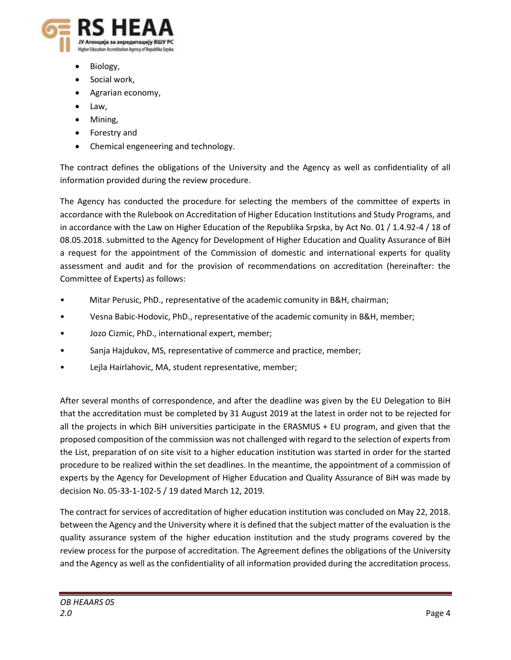

- Biology,
- Social work,
- Agrarian economy,
- Law,
- Mining,
- Forestry and
- Chemical engeneering and technology.

The contract defines the obligations of the University and the Agency as well as confidentiality of all information provided during the review procedure.

The Agency has conducted the procedure for selecting the members of the committee of experts in accordance with the Rulebook on Accreditation of Higher Education Institutions and Study Programs, and in accordance with the Law on Higher Education of the Republika Srpska, by Act No. 01 / 1.4.92-4 / 18 of 08.05.2018. submitted to the Agency for Development of Higher Education and Quality Assurance of BiH a request for the appointment of the Commission of domestic and international experts for quality assessment and audit and for the provision of recommendations on accreditation (hereinafter: the Committee of Experts) as follows:

- Mitar Perusic, PhD., representative of the academic comunity in B&H, chairman;
- Vesna Babic-Hodovic, PhD., representative of the academic comunity in B&H, member;
- Jozo Cizmic, PhD., international expert, member;
- Sanja Hajdukov, MS, representative of commerce and practice, member;
- Lejla Hairlahovic, MA, student representative, member;

After several months of correspondence, and after the deadline was given by the EU Delegation to BiH that the accreditation must be completed by 31 August 2019 at the latest in order not to be rejected for all the projects in which BiH universities participate in the ERASMUS + EU program, and given that the proposed composition of the commission was not challenged with regard to the selection of experts from the List, preparation of on site visit to a higher education institution was started in order for the started procedure to be realized within the set deadlines. In the meantime, the appointment of a commission of experts by the Agency for Development of Higher Education and Quality Assurance of BiH was made by decision No. 05-33-1-102-5 / 19 dated March 12, 2019.

The contract for services of accreditation of higher education institution was concluded on May 22, 2018. between the Agency and the University where it is defined that the subject matter of the evaluation is the quality assurance system of the higher education institution and the study programs covered by the review process for the purpose of accreditation. The Agreement defines the obligations of the University and the Agency as well as the confidentiality of all information provided during the accreditation process.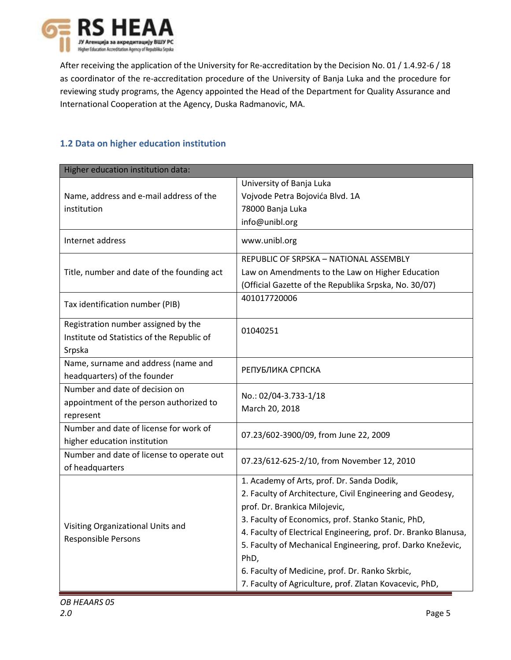

After receiving the application of the University for Re-accreditation by the Decision No. 01 / 1.4.92-6 / 18 as coordinator of the re-accreditation procedure of the University of Banja Luka and the procedure for reviewing study programs, the Agency appointed the Head of the Department for Quality Assurance and International Cooperation at the Agency, Duska Radmanovic, MA.

# **1.2 Data on higher education institution**

| Higher education institution data:         |                                                                 |
|--------------------------------------------|-----------------------------------------------------------------|
|                                            | University of Banja Luka                                        |
| Name, address and e-mail address of the    | Vojvode Petra Bojovića Blvd. 1A                                 |
| institution                                | 78000 Banja Luka                                                |
|                                            | info@unibl.org                                                  |
| Internet address                           | www.unibl.org                                                   |
|                                            | REPUBLIC OF SRPSKA - NATIONAL ASSEMBLY                          |
| Title, number and date of the founding act | Law on Amendments to the Law on Higher Education                |
|                                            | (Official Gazette of the Republika Srpska, No. 30/07)           |
| Tax identification number (PIB)            | 401017720006                                                    |
| Registration number assigned by the        | 01040251                                                        |
| Institute od Statistics of the Republic of |                                                                 |
| Srpska                                     |                                                                 |
| Name, surname and address (name and        | РЕПУБЛИКА СРПСКА                                                |
| headquarters) of the founder               |                                                                 |
| Number and date of decision on             | No.: 02/04-3.733-1/18                                           |
| appointment of the person authorized to    | March 20, 2018                                                  |
| represent                                  |                                                                 |
| Number and date of license for work of     | 07.23/602-3900/09, from June 22, 2009                           |
| higher education institution               |                                                                 |
| Number and date of license to operate out  | 07.23/612-625-2/10, from November 12, 2010                      |
| of headquarters                            |                                                                 |
|                                            | 1. Academy of Arts, prof. Dr. Sanda Dodik,                      |
|                                            | 2. Faculty of Architecture, Civil Engineering and Geodesy,      |
|                                            | prof. Dr. Brankica Milojevic,                                   |
| Visiting Organizational Units and          | 3. Faculty of Economics, prof. Stanko Stanic, PhD,              |
| Responsible Persons                        | 4. Faculty of Electrical Engineering, prof. Dr. Branko Blanusa, |
|                                            | 5. Faculty of Mechanical Engineering, prof. Darko Kneževic,     |
|                                            | PhD,                                                            |
|                                            | 6. Faculty of Medicine, prof. Dr. Ranko Skrbic,                 |
|                                            | 7. Faculty of Agriculture, prof. Zlatan Kovacevic, PhD,         |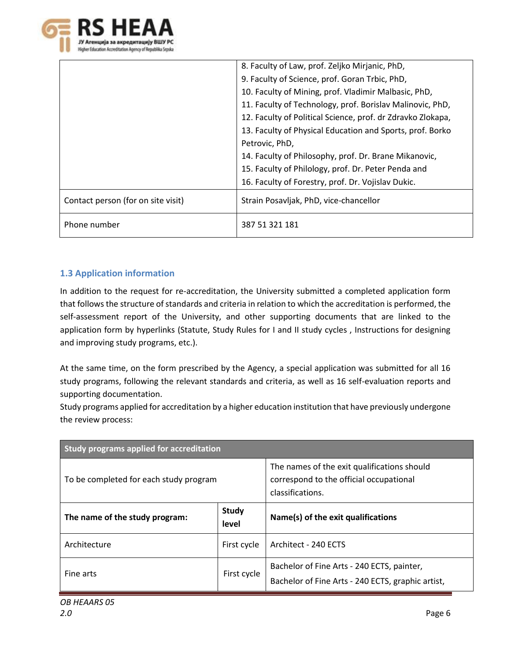

|                                    | 8. Faculty of Law, prof. Zeljko Mirjanic, PhD,              |
|------------------------------------|-------------------------------------------------------------|
|                                    | 9. Faculty of Science, prof. Goran Trbic, PhD,              |
|                                    | 10. Faculty of Mining, prof. Vladimir Malbasic, PhD,        |
|                                    | 11. Faculty of Technology, prof. Borislav Malinovic, PhD,   |
|                                    | 12. Faculty of Political Science, prof. dr Zdravko Zlokapa, |
|                                    | 13. Faculty of Physical Education and Sports, prof. Borko   |
|                                    | Petrovic, PhD,                                              |
|                                    | 14. Faculty of Philosophy, prof. Dr. Brane Mikanovic,       |
|                                    | 15. Faculty of Philology, prof. Dr. Peter Penda and         |
|                                    | 16. Faculty of Forestry, prof. Dr. Vojislav Dukic.          |
| Contact person (for on site visit) | Strain Posavljak, PhD, vice-chancellor                      |
| Phone number                       | 387 51 321 181                                              |

# **1.3 Application information**

In addition to the request for re-accreditation, the University submitted a completed application form that follows the structure of standards and criteria in relation to which the accreditation is performed, the self-assessment report of the University, and other supporting documents that are linked to the application form by hyperlinks (Statute, Study Rules for I and II study cycles, Instructions for designing and improving study programs, etc.).

At the same time, on the form prescribed by the Agency, a special application was submitted for all 16 study programs, following the relevant standards and criteria, as well as 16 self-evaluation reports and supporting documentation.

Study programs applied for accreditation by a higher education institution that have previously undergone the review process:

| Study programs applied for accreditation |                       |                                                                                                            |
|------------------------------------------|-----------------------|------------------------------------------------------------------------------------------------------------|
| To be completed for each study program   |                       | The names of the exit qualifications should<br>correspond to the official occupational<br>classifications. |
| The name of the study program:           | <b>Study</b><br>level | Name(s) of the exit qualifications                                                                         |
| Architecture                             | First cycle           | Architect - 240 ECTS                                                                                       |
| Fine arts                                | First cycle           | Bachelor of Fine Arts - 240 ECTS, painter,<br>Bachelor of Fine Arts - 240 ECTS, graphic artist,            |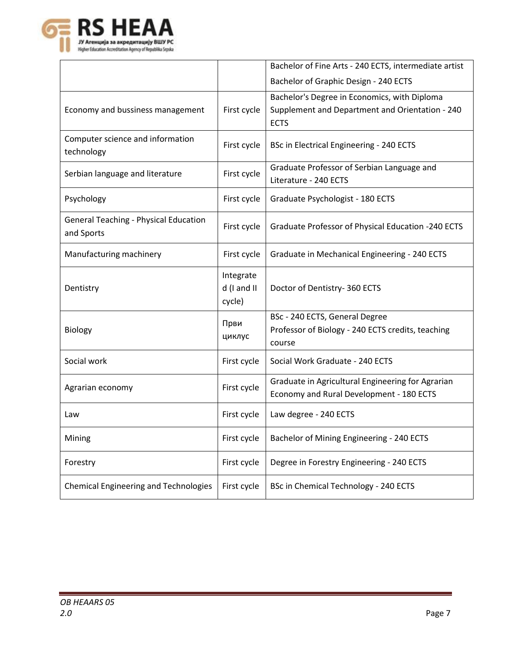

|                                                            |                                    | Bachelor of Fine Arts - 240 ECTS, intermediate artist                                                          |
|------------------------------------------------------------|------------------------------------|----------------------------------------------------------------------------------------------------------------|
|                                                            |                                    | Bachelor of Graphic Design - 240 ECTS                                                                          |
| Economy and bussiness management                           | First cycle                        | Bachelor's Degree in Economics, with Diploma<br>Supplement and Department and Orientation - 240<br><b>ECTS</b> |
| Computer science and information<br>technology             | First cycle                        | BSc in Electrical Engineering - 240 ECTS                                                                       |
| Serbian language and literature                            | First cycle                        | Graduate Professor of Serbian Language and<br>Literature - 240 ECTS                                            |
| Psychology                                                 | First cycle                        | Graduate Psychologist - 180 ECTS                                                                               |
| <b>General Teaching - Physical Education</b><br>and Sports | First cycle                        | Graduate Professor of Physical Education -240 ECTS                                                             |
| Manufacturing machinery                                    | First cycle                        | Graduate in Mechanical Engineering - 240 ECTS                                                                  |
| Dentistry                                                  | Integrate<br>d (I and II<br>cycle) | Doctor of Dentistry- 360 ECTS                                                                                  |
| Biology                                                    | Први<br>циклус                     | BSc - 240 ECTS, General Degree<br>Professor of Biology - 240 ECTS credits, teaching<br>course                  |
| Social work                                                | First cycle                        | Social Work Graduate - 240 ECTS                                                                                |
| Agrarian economy                                           | First cycle                        | Graduate in Agricultural Engineering for Agrarian<br>Economy and Rural Development - 180 ECTS                  |
| Law                                                        | First cycle                        | Law degree - 240 ECTS                                                                                          |
| Mining                                                     | First cycle                        | Bachelor of Mining Engineering - 240 ECTS                                                                      |
| Forestry                                                   | First cycle                        | Degree in Forestry Engineering - 240 ECTS                                                                      |
| <b>Chemical Engineering and Technologies</b>               | First cycle                        | BSc in Chemical Technology - 240 ECTS                                                                          |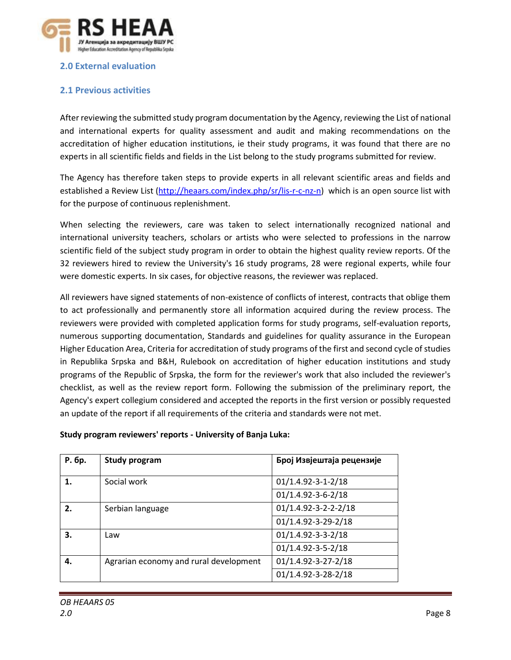

# **2.0 External evaluation**

# **2.1 Previous activities**

After reviewing the submitted study program documentation by the Agency, reviewing the List of national and international experts for quality assessment and audit and making recommendations on the accreditation of higher education institutions, ie their study programs, it was found that there are no experts in all scientific fields and fields in the List belong to the study programs submitted for review.

The Agency has therefore taken steps to provide experts in all relevant scientific areas and fields and established a Review List [\(http://heaars.com/index.php/sr/lis-r-c-nz-n\)](http://heaars.com/index.php/sr/lis-r-c-nz-n) which is an open source list with for the purpose of continuous replenishment.

When selecting the reviewers, care was taken to select internationally recognized national and international university teachers, scholars or artists who were selected to professions in the narrow scientific field of the subject study program in order to obtain the highest quality review reports. Of the 32 reviewers hired to review the University's 16 study programs, 28 were regional experts, while four were domestic experts. In six cases, for objective reasons, the reviewer was replaced.

All reviewers have signed statements of non-existence of conflicts of interest, contracts that oblige them to act professionally and permanently store all information acquired during the review process. The reviewers were provided with completed application forms for study programs, self-evaluation reports, numerous supporting documentation, Standards and guidelines for quality assurance in the European Higher Education Area, Criteria for accreditation of study programs of the first and second cycle of studies in Republika Srpska and B&H, Rulebook on accreditation of higher education institutions and study programs of the Republic of Srpska, the form for the reviewer's work that also included the reviewer's checklist, as well as the review report form. Following the submission of the preliminary report, the Agency's expert collegium considered and accepted the reports in the first version or possibly requested an update of the report if all requirements of the criteria and standards were not met.

| Р. бр. | <b>Study program</b>                   | Број Извјештаја рецензије  |
|--------|----------------------------------------|----------------------------|
|        | Social work                            | $01/1.4.92 - 3 - 1 - 2/18$ |
|        |                                        | 01/1.4.92-3-6-2/18         |
| 2.     | Serbian language                       | 01/1.4.92-3-2-2-2/18       |
|        |                                        | 01/1.4.92-3-29-2/18        |
| З.     | Law                                    | 01/1.4.92-3-3-2/18         |
|        |                                        | 01/1.4.92-3-5-2/18         |
| 4.     | Agrarian economy and rural development | 01/1.4.92-3-27-2/18        |
|        |                                        | 01/1.4.92-3-28-2/18        |

**Study program reviewers' reports - University of Banja Luka:**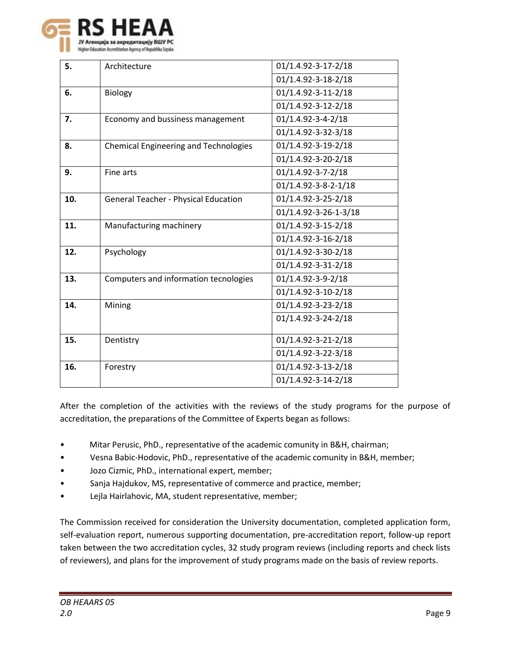

| 5.  | Architecture                                 | 01/1.4.92-3-17-2/18        |
|-----|----------------------------------------------|----------------------------|
|     |                                              | 01/1.4.92-3-18-2/18        |
| 6.  | <b>Biology</b>                               | 01/1.4.92-3-11-2/18        |
|     |                                              | 01/1.4.92-3-12-2/18        |
| 7.  | Economy and bussiness management             | $01/1.4.92 - 3 - 4 - 2/18$ |
|     |                                              | 01/1.4.92-3-32-3/18        |
| 8.  | <b>Chemical Engineering and Technologies</b> | 01/1.4.92-3-19-2/18        |
|     |                                              | 01/1.4.92-3-20-2/18        |
| 9.  | Fine arts                                    | $01/1.4.92 - 3 - 7 - 2/18$ |
|     |                                              | 01/1.4.92-3-8-2-1/18       |
| 10. | General Teacher - Physical Education         | 01/1.4.92-3-25-2/18        |
|     |                                              | 01/1.4.92-3-26-1-3/18      |
| 11. | Manufacturing machinery                      | 01/1.4.92-3-15-2/18        |
|     |                                              | 01/1.4.92-3-16-2/18        |
| 12. | Psychology                                   | 01/1.4.92-3-30-2/18        |
|     |                                              | 01/1.4.92-3-31-2/18        |
| 13. | Computers and information tecnologies        | 01/1.4.92-3-9-2/18         |
|     |                                              | 01/1.4.92-3-10-2/18        |
| 14. | Mining                                       | 01/1.4.92-3-23-2/18        |
|     |                                              | 01/1.4.92-3-24-2/18        |
| 15. | Dentistry                                    | 01/1.4.92-3-21-2/18        |
|     |                                              | 01/1.4.92-3-22-3/18        |
| 16. | Forestry                                     | 01/1.4.92-3-13-2/18        |
|     |                                              | 01/1.4.92-3-14-2/18        |

After the completion of the activities with the reviews of the study programs for the purpose of accreditation, the preparations of the Committee of Experts began as follows:

- Mitar Perusic, PhD., representative of the academic comunity in B&H, chairman;
- Vesna Babic-Hodovic, PhD., representative of the academic comunity in B&H, member;
- Jozo Cizmic, PhD., international expert, member;
- Sanja Hajdukov, MS, representative of commerce and practice, member;
- Lejla Hairlahovic, MA, student representative, member;

The Commission received for consideration the University documentation, completed application form, self-evaluation report, numerous supporting documentation, pre-accreditation report, follow-up report taken between the two accreditation cycles, 32 study program reviews (including reports and check lists of reviewers), and plans for the improvement of study programs made on the basis of review reports.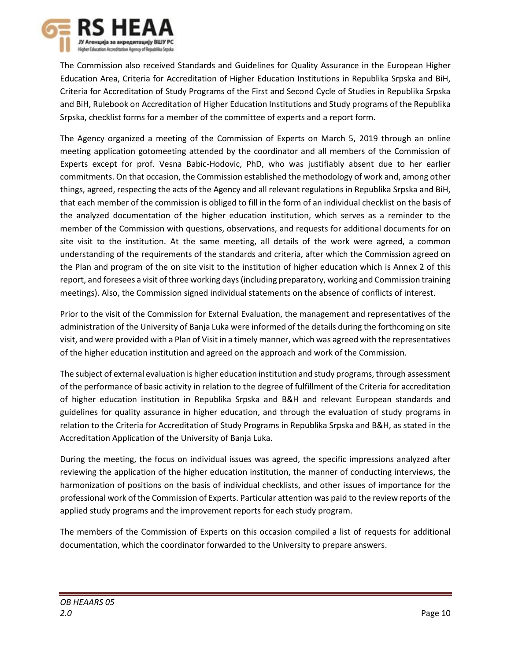

The Commission also received Standards and Guidelines for Quality Assurance in the European Higher Education Area, Criteria for Accreditation of Higher Education Institutions in Republika Srpska and BiH, Criteria for Accreditation of Study Programs of the First and Second Cycle of Studies in Republika Srpska and BiH, Rulebook on Accreditation of Higher Education Institutions and Study programs of the Republika Srpska, checklist forms for a member of the committee of experts and a report form.

The Agency organized a meeting of the Commission of Experts on March 5, 2019 through an online meeting application gotomeeting attended by the coordinator and all members of the Commission of Experts except for prof. Vesna Babic-Hodovic, PhD, who was justifiably absent due to her earlier commitments. On that occasion, the Commission established the methodology of work and, among other things, agreed, respecting the acts of the Agency and all relevant regulations in Republika Srpska and BiH, that each member of the commission is obliged to fill in the form of an individual checklist on the basis of the analyzed documentation of the higher education institution, which serves as a reminder to the member of the Commission with questions, observations, and requests for additional documents for on site visit to the institution. At the same meeting, all details of the work were agreed, a common understanding of the requirements of the standards and criteria, after which the Commission agreed on the Plan and program of the on site visit to the institution of higher education which is Annex 2 of this report, and foresees a visit of three working days (including preparatory, working and Commission training meetings). Also, the Commission signed individual statements on the absence of conflicts of interest.

Prior to the visit of the Commission for External Evaluation, the management and representatives of the administration of the University of Banja Luka were informed of the details during the forthcoming on site visit, and were provided with a Plan of Visit in a timely manner, which was agreed with the representatives of the higher education institution and agreed on the approach and work of the Commission.

The subject of external evaluation is higher education institution and study programs, through assessment of the performance of basic activity in relation to the degree of fulfillment of the Criteria for accreditation of higher education institution in Republika Srpska and B&H and relevant European standards and guidelines for quality assurance in higher education, and through the evaluation of study programs in relation to the Criteria for Accreditation of Study Programs in Republika Srpska and B&H, as stated in the Accreditation Application of the University of Banja Luka.

During the meeting, the focus on individual issues was agreed, the specific impressions analyzed after reviewing the application of the higher education institution, the manner of conducting interviews, the harmonization of positions on the basis of individual checklists, and other issues of importance for the professional work of the Commission of Experts. Particular attention was paid to the review reports of the applied study programs and the improvement reports for each study program.

The members of the Commission of Experts on this occasion compiled a list of requests for additional documentation, which the coordinator forwarded to the University to prepare answers.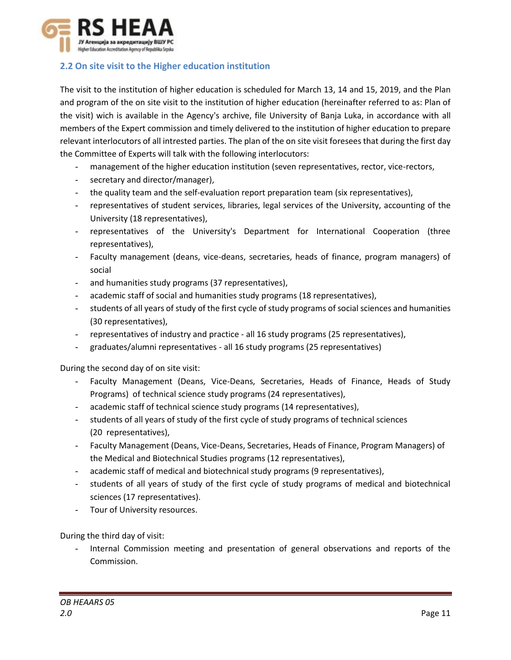

# <span id="page-10-0"></span>**2.2 On site visit to the Higher education institution**

The visit to the institution of higher education is scheduled for March 13, 14 and 15, 2019, and the Plan and program of the on site visit to the institution of higher education (hereinafter referred to as: Plan of the visit) wich is available in the Agency's archive, file University of Banja Luka, in accordance with all members of the Expert commission and timely delivered to the institution of higher education to prepare relevant interlocutors of all intrested parties. The plan of the on site visit foresees that during the first day the Committee of Experts will talk with the following interlocutors:

- management of the higher education institution (seven representatives, rector, vice-rectors,
- secretary and director/manager),
- the quality team and the self-evaluation report preparation team (six representatives),
- representatives of student services, libraries, legal services of the University, accounting of the University (18 representatives),
- representatives of the University's Department for International Cooperation (three representatives),
- Faculty management (deans, vice-deans, secretaries, heads of finance, program managers) of social
- and humanities study programs (37 representatives),
- academic staff of social and humanities study programs (18 representatives),
- students of all years of study of the first cycle of study programs of social sciences and humanities (30 representatives),
- representatives of industry and practice all 16 study programs (25 representatives),
- graduates/alumni representatives all 16 study programs (25 representatives)

During the second day of on site visit:

- Faculty Management (Deans, Vice-Deans, Secretaries, Heads of Finance, Heads of Study Programs) of technical science study programs (24 representatives),
- academic staff of technical science study programs (14 representatives),
- students of all years of study of the first cycle of study programs of technical sciences (20 representatives),
- Faculty Management (Deans, Vice-Deans, Secretaries, Heads of Finance, Program Managers) of the Medical and Biotechnical Studies programs (12 representatives),
- academic staff of medical and biotechnical study programs (9 representatives),
- students of all years of study of the first cycle of study programs of medical and biotechnical sciences (17 representatives).
- Tour of University resources.

During the third day of visit:

Internal Commission meeting and presentation of general observations and reports of the Commission.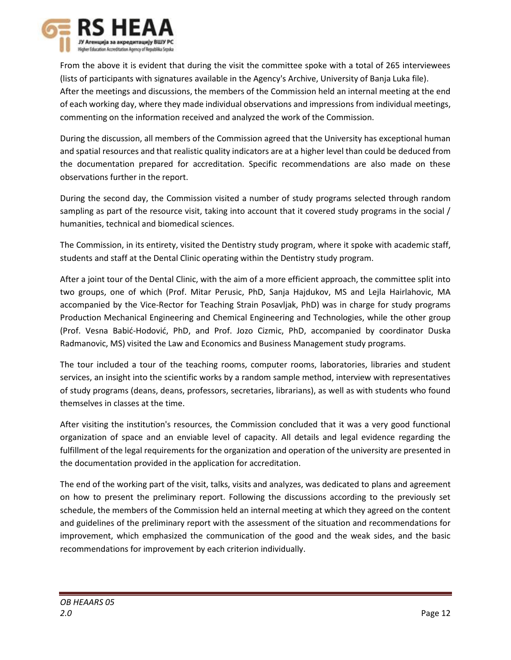

From the above it is evident that during the visit the committee spoke with a total of 265 interviewees (lists of participants with signatures available in the Agency's Archive, University of Banja Luka file). After the meetings and discussions, the members of the Commission held an internal meeting at the end of each working day, where they made individual observations and impressions from individual meetings, commenting on the information received and analyzed the work of the Commission.

During the discussion, all members of the Commission agreed that the University has exceptional human and spatial resources and that realistic quality indicators are at a higher level than could be deduced from the documentation prepared for accreditation. Specific recommendations are also made on these observations further in the report.

During the second day, the Commission visited a number of study programs selected through random sampling as part of the resource visit, taking into account that it covered study programs in the social / humanities, technical and biomedical sciences.

The Commission, in its entirety, visited the Dentistry study program, where it spoke with academic staff, students and staff at the Dental Clinic operating within the Dentistry study program.

After a joint tour of the Dental Clinic, with the aim of a more efficient approach, the committee split into two groups, one of which (Prof. Mitar Perusic, PhD, Sanja Hajdukov, MS and Lejla Hairlahovic, MA accompanied by the Vice-Rector for Teaching Strain Posavljak, PhD) was in charge for study programs Production Mechanical Engineering and Chemical Engineering and Technologies, while the other group (Prof. Vesna Babić-Hodović, PhD, and Prof. Jozo Cizmic, PhD, accompanied by coordinator Duska Radmanovic, MS) visited the Law and Economics and Business Management study programs.

The tour included a tour of the teaching rooms, computer rooms, laboratories, libraries and student services, an insight into the scientific works by a random sample method, interview with representatives of study programs (deans, deans, professors, secretaries, librarians), as well as with students who found themselves in classes at the time.

After visiting the institution's resources, the Commission concluded that it was a very good functional organization of space and an enviable level of capacity. All details and legal evidence regarding the fulfillment of the legal requirements for the organization and operation of the university are presented in the documentation provided in the application for accreditation.

The end of the working part of the visit, talks, visits and analyzes, was dedicated to plans and agreement on how to present the preliminary report. Following the discussions according to the previously set schedule, the members of the Commission held an internal meeting at which they agreed on the content and guidelines of the preliminary report with the assessment of the situation and recommendations for improvement, which emphasized the communication of the good and the weak sides, and the basic recommendations for improvement by each criterion individually.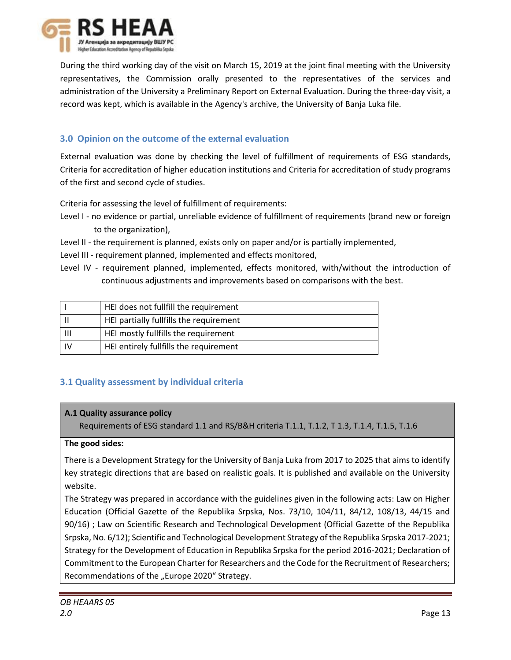

During the third working day of the visit on March 15, 2019 at the joint final meeting with the University representatives, the Commission orally presented to the representatives of the services and administration of the University a Preliminary Report on External Evaluation. During the three-day visit, a record was kept, which is available in the Agency's archive, the University of Banja Luka file.

# <span id="page-12-0"></span>**3.0 Opinion on the outcome of the external evaluation**

External evaluation was done by checking the level of fulfillment of requirements of ESG standards, Criteria for accreditation of higher education institutions and Criteria for accreditation of study programs of the first and second cycle of studies.

Criteria for assessing the level of fulfillment of requirements:

- Level I no evidence or partial, unreliable evidence of fulfillment of requirements (brand new or foreign to the organization),
- Level II the requirement is planned, exists only on paper and/or is partially implemented,
- Level III requirement planned, implemented and effects monitored,
- Level IV requirement planned, implemented, effects monitored, with/without the introduction of continuous adjustments and improvements based on comparisons with the best.

|   | HEI does not fullfill the requirement   |
|---|-----------------------------------------|
|   | HEI partially fullfills the requirement |
| Ш | HEI mostly fullfills the requirement    |
|   | HEI entirely fullfills the requirement  |

# **3.1 Quality assessment by individual criteria**

# **А.1 Quality assurance policy**

Requirements of ESG standard 1.1 and RS/B&H criteria T.1.1, T.1.2, T 1.3, T.1.4, T.1.5, T.1.6

# **The good sides:**

There is a Development Strategy for the University of Banja Luka from 2017 to 2025 that aims to identify key strategic directions that are based on realistic goals. It is published and available on the University website.

The Strategy was prepared in accordance with the guidelines given in the following acts: Law on Higher Education (Official Gazette of the Republika Srpska, Nos. 73/10, 104/11, 84/12, 108/13, 44/15 and 90/16) ; Law on Scientific Research and Technological Development (Official Gazette of the Republika Srpska, No. 6/12); Scientific and Technological Development Strategy of the Republika Srpska 2017-2021; Strategy for the Development of Education in Republika Srpska for the period 2016-2021; Declaration of Commitment to the European Charter for Researchers and the Code for the Recruitment of Researchers; Recommendations of the "Europe 2020" Strategy.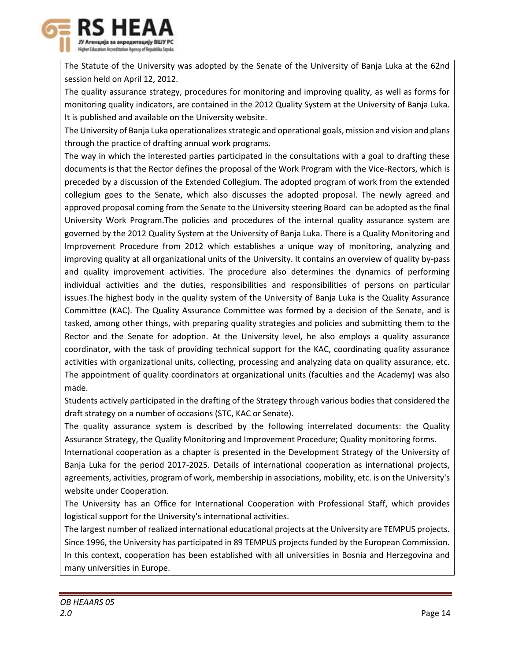

The Statute of the University was adopted by the Senate of the University of Banja Luka at the 62nd session held on April 12, 2012.

The quality assurance strategy, procedures for monitoring and improving quality, as well as forms for monitoring quality indicators, are contained in the 2012 Quality System at the University of Banja Luka. It is published and available on the University website.

The University of Banja Luka operationalizes strategic and operational goals, mission and vision and plans through the practice of drafting annual work programs.

The way in which the interested parties participated in the consultations with a goal to drafting these documents is that the Rector defines the proposal of the Work Program with the Vice-Rectors, which is preceded by a discussion of the Extended Collegium. The adopted program of work from the extended collegium goes to the Senate, which also discusses the adopted proposal. The newly agreed and approved proposal coming from the Senate to the University steering Board can be adopted as the final University Work Program.The policies and procedures of the internal quality assurance system are governed by the 2012 Quality System at the University of Banja Luka. There is a Quality Monitoring and Improvement Procedure from 2012 which establishes a unique way of monitoring, analyzing and improving quality at all organizational units of the University. It contains an overview of quality by-pass and quality improvement activities. The procedure also determines the dynamics of performing individual activities and the duties, responsibilities and responsibilities of persons on particular issues.The highest body in the quality system of the University of Banja Luka is the Quality Assurance Committee (KAC). The Quality Assurance Committee was formed by a decision of the Senate, and is tasked, among other things, with preparing quality strategies and policies and submitting them to the Rector and the Senate for adoption. At the University level, he also employs a quality assurance coordinator, with the task of providing technical support for the KAC, coordinating quality assurance activities with organizational units, collecting, processing and analyzing data on quality assurance, etc. The appointment of quality coordinators at organizational units (faculties and the Academy) was also made.

Students actively participated in the drafting of the Strategy through various bodies that considered the draft strategy on a number of occasions (STC, KAC or Senate).

The quality assurance system is described by the following interrelated documents: the Quality Assurance Strategy, the Quality Monitoring and Improvement Procedure; Quality monitoring forms.

International cooperation as a chapter is presented in the Development Strategy of the University of Banja Luka for the period 2017-2025. Details of international cooperation as international projects, agreements, activities, program of work, membership in associations, mobility, etc. is on the University's website under Cooperation.

The University has an Office for International Cooperation with Professional Staff, which provides logistical support for the University's international activities.

The largest number of realized international educational projects at the University are TEMPUS projects. Since 1996, the University has participated in 89 TEMPUS projects funded by the European Commission. In this context, cooperation has been established with all universities in Bosnia and Herzegovina and many universities in Europe.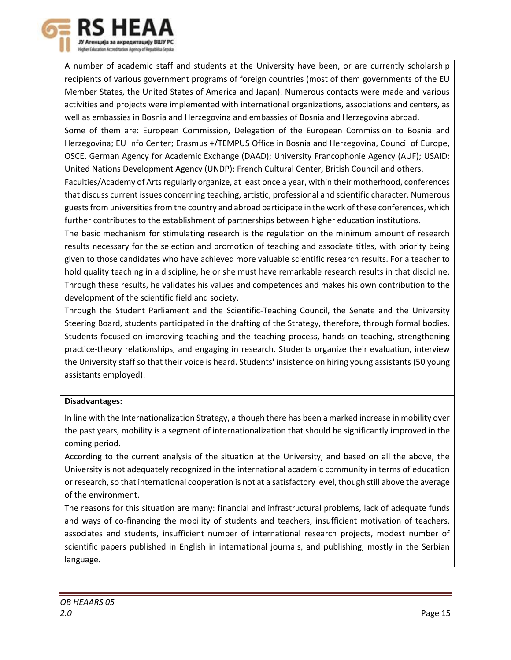

A number of academic staff and students at the University have been, or are currently scholarship recipients of various government programs of foreign countries (most of them governments of the EU Member States, the United States of America and Japan). Numerous contacts were made and various activities and projects were implemented with international organizations, associations and centers, as well as embassies in Bosnia and Herzegovina and embassies of Bosnia and Herzegovina abroad.

Some of them are: European Commission, Delegation of the European Commission to Bosnia and Herzegovina; EU Info Center; Erasmus +/TEMPUS Office in Bosnia and Herzegovina, Council of Europe, OSCE, German Agency for Academic Exchange (DAAD); University Francophonie Agency (AUF); USAID; United Nations Development Agency (UNDP); French Cultural Center, British Council and others.

Faculties/Academy of Arts regularly organize, at least once a year, within their motherhood, conferences that discuss current issues concerning teaching, artistic, professional and scientific character. Numerous guests from universities from the country and abroad participate in the work of these conferences, which further contributes to the establishment of partnerships between higher education institutions.

The basic mechanism for stimulating research is the regulation on the minimum amount of research results necessary for the selection and promotion of teaching and associate titles, with priority being given to those candidates who have achieved more valuable scientific research results. For a teacher to hold quality teaching in a discipline, he or she must have remarkable research results in that discipline. Through these results, he validates his values and competences and makes his own contribution to the development of the scientific field and society.

Through the Student Parliament and the Scientific-Teaching Council, the Senate and the University Steering Board, students participated in the drafting of the Strategy, therefore, through formal bodies. Students focused on improving teaching and the teaching process, hands-on teaching, strengthening practice-theory relationships, and engaging in research. Students organize their evaluation, interview the University staff so that their voice is heard. Students' insistence on hiring young assistants (50 young assistants employed).

# **Disadvantages:**

In line with the Internationalization Strategy, although there has been a marked increase in mobility over the past years, mobility is a segment of internationalization that should be significantly improved in the coming period.

According to the current analysis of the situation at the University, and based on all the above, the University is not adequately recognized in the international academic community in terms of education or research, so that international cooperation is not at a satisfactory level, though still above the average of the environment.

The reasons for this situation are many: financial and infrastructural problems, lack of adequate funds and ways of co-financing the mobility of students and teachers, insufficient motivation of teachers, associates and students, insufficient number of international research projects, modest number of scientific papers published in English in international journals, and publishing, mostly in the Serbian language.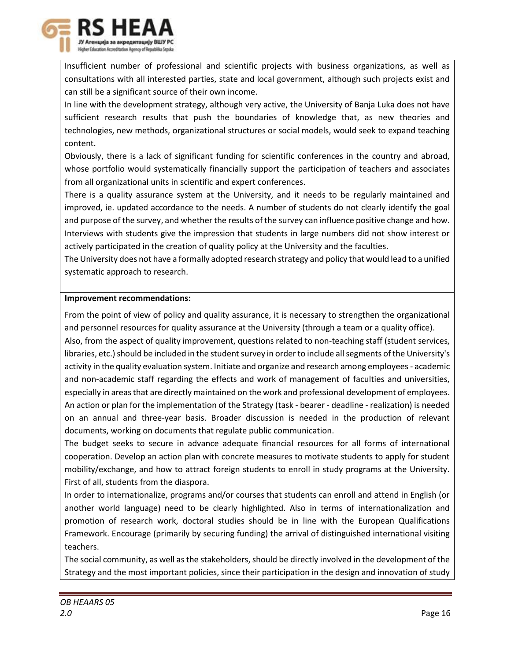

Insufficient number of professional and scientific projects with business organizations, as well as consultations with all interested parties, state and local government, although such projects exist and can still be a significant source of their own income.

In line with the development strategy, although very active, the University of Banja Luka does not have sufficient research results that push the boundaries of knowledge that, as new theories and technologies, new methods, organizational structures or social models, would seek to expand teaching content.

Obviously, there is a lack of significant funding for scientific conferences in the country and abroad, whose portfolio would systematically financially support the participation of teachers and associates from all organizational units in scientific and expert conferences.

There is a quality assurance system at the University, and it needs to be regularly maintained and improved, ie. updated accordance to the needs. A number of students do not clearly identify the goal and purpose of the survey, and whether the results of the survey can influence positive change and how. Interviews with students give the impression that students in large numbers did not show interest or actively participated in the creation of quality policy at the University and the faculties.

The University does not have a formally adopted research strategy and policy that would lead to a unified systematic approach to research.

# **Improvement recommendations:**

From the point of view of policy and quality assurance, it is necessary to strengthen the organizational and personnel resources for quality assurance at the University (through a team or a quality office).

Also, from the aspect of quality improvement, questions related to non-teaching staff (student services, libraries, etc.) should be included in the student survey in order to include all segments of the University's activity in the quality evaluation system. Initiate and organize and research among employees - academic and non-academic staff regarding the effects and work of management of faculties and universities, especially in areas that are directly maintained on the work and professional development of employees. An action or plan for the implementation of the Strategy (task - bearer - deadline - realization) is needed on an annual and three-year basis. Broader discussion is needed in the production of relevant documents, working on documents that regulate public communication.

The budget seeks to secure in advance adequate financial resources for all forms of international cooperation. Develop an action plan with concrete measures to motivate students to apply for student mobility/exchange, and how to attract foreign students to enroll in study programs at the University. First of all, students from the diaspora.

In order to internationalize, programs and/or courses that students can enroll and attend in English (or another world language) need to be clearly highlighted. Also in terms of internationalization and promotion of research work, doctoral studies should be in line with the European Qualifications Framework. Encourage (primarily by securing funding) the arrival of distinguished international visiting teachers.

The social community, as well as the stakeholders, should be directly involved in the development of the Strategy and the most important policies, since their participation in the design and innovation of study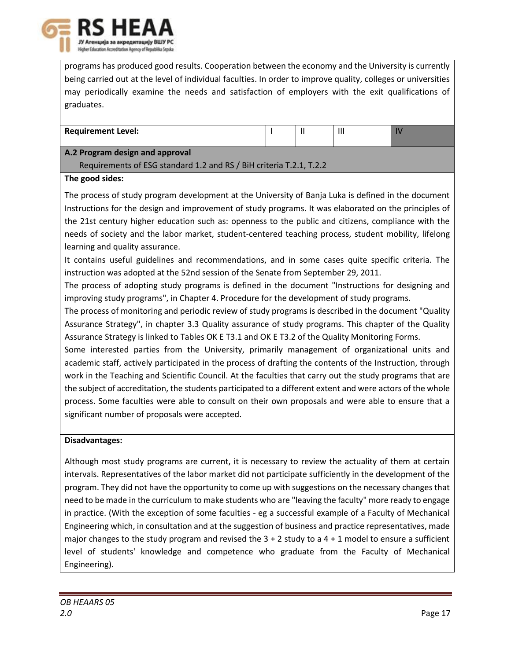

programs has produced good results. Cooperation between the economy and the University is currently being carried out at the level of individual faculties. In order to improve quality, colleges or universities may periodically examine the needs and satisfaction of employers with the exit qualifications of graduates.

| <b>Requirement Level:</b> | . . | . |  |
|---------------------------|-----|---|--|
|                           |     |   |  |

# **A.2 Program design and approval**

Requirements of ESG standard 1.2 and RS / BiH criteria T.2.1, T.2.2

# **The good sides:**

The process of study program development at the University of Banja Luka is defined in the document Instructions for the design and improvement of study programs. It was elaborated on the principles of the 21st century higher education such as: openness to the public and citizens, compliance with the needs of society and the labor market, student-centered teaching process, student mobility, lifelong learning and quality assurance.

It contains useful guidelines and recommendations, and in some cases quite specific criteria. The instruction was adopted at the 52nd session of the Senate from September 29, 2011.

The process of adopting study programs is defined in the document "Instructions for designing and improving study programs", in Chapter 4. Procedure for the development of study programs.

The process of monitoring and periodic review of study programs is described in the document "Quality Assurance Strategy", in chapter 3.3 Quality assurance of study programs. This chapter of the Quality Assurance Strategy is linked to Tables OK E T3.1 and OK E T3.2 of the Quality Monitoring Forms.

Some interested parties from the University, primarily management of organizational units and academic staff, actively participated in the process of drafting the contents of the Instruction, through work in the Teaching and Scientific Council. At the faculties that carry out the study programs that are the subject of accreditation, the students participated to a different extent and were actors of the whole process. Some faculties were able to consult on their own proposals and were able to ensure that a significant number of proposals were accepted.

# **Disadvantages:**

Although most study programs are current, it is necessary to review the actuality of them at certain intervals. Representatives of the labor market did not participate sufficiently in the development of the program. They did not have the opportunity to come up with suggestions on the necessary changes that need to be made in the curriculum to make students who are "leaving the faculty" more ready to engage in practice. (With the exception of some faculties - eg a successful example of a Faculty of Mechanical Engineering which, in consultation and at the suggestion of business and practice representatives, made major changes to the study program and revised the  $3 + 2$  study to a  $4 + 1$  model to ensure a sufficient level of students' knowledge and competence who graduate from the Faculty of Mechanical Engineering).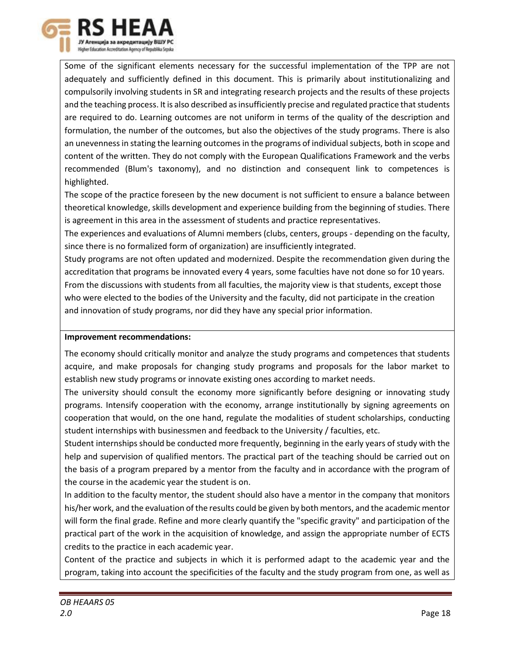

Some of the significant elements necessary for the successful implementation of the TPP are not adequately and sufficiently defined in this document. This is primarily about institutionalizing and compulsorily involving students in SR and integrating research projects and the results of these projects and the teaching process. It is also described as insufficiently precise and regulated practice that students are required to do. Learning outcomes are not uniform in terms of the quality of the description and formulation, the number of the outcomes, but also the objectives of the study programs. There is also an unevenness in stating the learning outcomes in the programs of individual subjects, both in scope and content of the written. They do not comply with the European Qualifications Framework and the verbs recommended (Blum's taxonomy), and no distinction and consequent link to competences is highlighted.

The scope of the practice foreseen by the new document is not sufficient to ensure a balance between theoretical knowledge, skills development and experience building from the beginning of studies. There is agreement in this area in the assessment of students and practice representatives.

The experiences and evaluations of Alumni members (clubs, centers, groups - depending on the faculty, since there is no formalized form of organization) are insufficiently integrated.

Study programs are not often updated and modernized. Despite the recommendation given during the accreditation that programs be innovated every 4 years, some faculties have not done so for 10 years. From the discussions with students from all faculties, the majority view is that students, except those who were elected to the bodies of the University and the faculty, did not participate in the creation and innovation of study programs, nor did they have any special prior information.

# **Improvement recommendations:**

The economy should critically monitor and analyze the study programs and competences that students acquire, and make proposals for changing study programs and proposals for the labor market to establish new study programs or innovate existing ones according to market needs.

The university should consult the economy more significantly before designing or innovating study programs. Intensify cooperation with the economy, arrange institutionally by signing agreements on cooperation that would, on the one hand, regulate the modalities of student scholarships, conducting student internships with businessmen and feedback to the University / faculties, etc.

Student internships should be conducted more frequently, beginning in the early years of study with the help and supervision of qualified mentors. The practical part of the teaching should be carried out on the basis of a program prepared by a mentor from the faculty and in accordance with the program of the course in the academic year the student is on.

In addition to the faculty mentor, the student should also have a mentor in the company that monitors his/her work, and the evaluation of the results could be given by both mentors, and the academic mentor will form the final grade. Refine and more clearly quantify the "specific gravity" and participation of the practical part of the work in the acquisition of knowledge, and assign the appropriate number of ECTS credits to the practice in each academic year.

Content of the practice and subjects in which it is performed adapt to the academic year and the program, taking into account the specificities of the faculty and the study program from one, as well as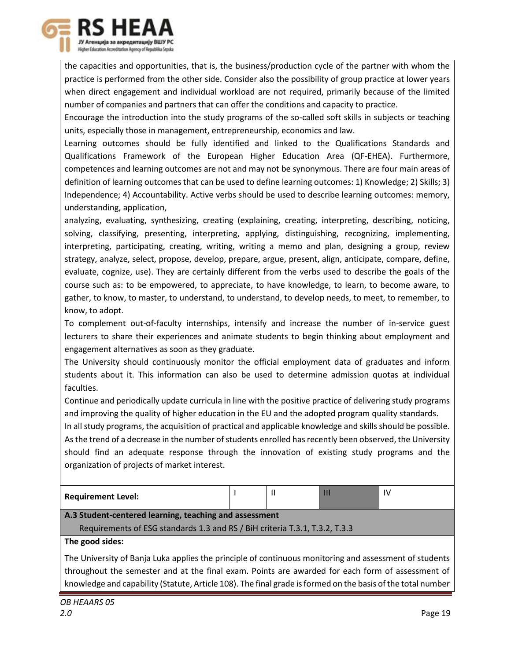

the capacities and opportunities, that is, the business/production cycle of the partner with whom the practice is performed from the other side. Consider also the possibility of group practice at lower years when direct engagement and individual workload are not required, primarily because of the limited number of companies and partners that can offer the conditions and capacity to practice.

Encourage the introduction into the study programs of the so-called soft skills in subjects or teaching units, especially those in management, entrepreneurship, economics and law.

Learning outcomes should be fully identified and linked to the Qualifications Standards and Qualifications Framework of the European Higher Education Area (QF-EHEA). Furthermore, competences and learning outcomes are not and may not be synonymous. There are four main areas of definition of learning outcomes that can be used to define learning outcomes: 1) Knowledge; 2) Skills; 3) Independence; 4) Accountability. Active verbs should be used to describe learning outcomes: memory, understanding, application,

analyzing, evaluating, synthesizing, creating (explaining, creating, interpreting, describing, noticing, solving, classifying, presenting, interpreting, applying, distinguishing, recognizing, implementing, interpreting, participating, creating, writing, writing a memo and plan, designing a group, review strategy, analyze, select, propose, develop, prepare, argue, present, align, anticipate, compare, define, evaluate, cognize, use). They are certainly different from the verbs used to describe the goals of the course such as: to be empowered, to appreciate, to have knowledge, to learn, to become aware, to gather, to know, to master, to understand, to understand, to develop needs, to meet, to remember, to know, to adopt.

To complement out-of-faculty internships, intensify and increase the number of in-service guest lecturers to share their experiences and animate students to begin thinking about employment and engagement alternatives as soon as they graduate.

The University should continuously monitor the official employment data of graduates and inform students about it. This information can also be used to determine admission quotas at individual faculties.

Continue and periodically update curricula in line with the positive practice of delivering study programs and improving the quality of higher education in the EU and the adopted program quality standards.

In all study programs, the acquisition of practical and applicable knowledge and skills should be possible. As the trend of a decrease in the number of students enrolled has recently been observed, the University should find an adequate response through the innovation of existing study programs and the organization of projects of market interest.

| <b>Requirement Level:</b>                                                   |  | IV |
|-----------------------------------------------------------------------------|--|----|
| A.3 Student-centered learning, teaching and assessment                      |  |    |
| Requirements of ESG standards 1.3 and RS / BiH criteria T.3.1, T.3.2, T.3.3 |  |    |
| The good sides:                                                             |  |    |

The University of Banja Luka applies the principle of continuous monitoring and assessment of students throughout the semester and at the final exam. Points are awarded for each form of assessment of knowledge and capability (Statute, Article 108). The final grade is formed on the basis of the total number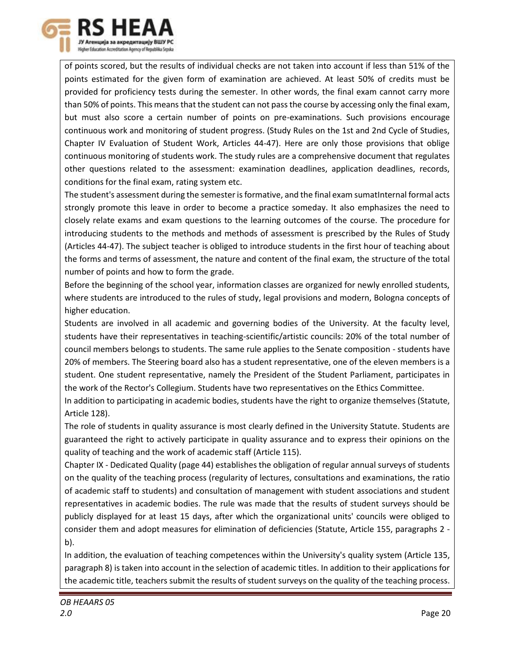

of points scored, but the results of individual checks are not taken into account if less than 51% of the points estimated for the given form of examination are achieved. At least 50% of credits must be provided for proficiency tests during the semester. In other words, the final exam cannot carry more than 50% of points. This means that the student can not pass the course by accessing only the final exam, but must also score a certain number of points on pre-examinations. Such provisions encourage continuous work and monitoring of student progress. (Study Rules on the 1st and 2nd Cycle of Studies, Chapter IV Evaluation of Student Work, Articles 44-47). Here are only those provisions that oblige continuous monitoring of students work. The study rules are a comprehensive document that regulates other questions related to the assessment: examination deadlines, application deadlines, records, conditions for the final exam, rating system etc.

The student's assessment during the semester is formative, and the final exam sumatInternal formal acts strongly promote this leave in order to become a practice someday. It also emphasizes the need to closely relate exams and exam questions to the learning outcomes of the course. The procedure for introducing students to the methods and methods of assessment is prescribed by the Rules of Study (Articles 44-47). The subject teacher is obliged to introduce students in the first hour of teaching about the forms and terms of assessment, the nature and content of the final exam, the structure of the total number of points and how to form the grade.

Before the beginning of the school year, information classes are organized for newly enrolled students, where students are introduced to the rules of study, legal provisions and modern, Bologna concepts of higher education.

Students are involved in all academic and governing bodies of the University. At the faculty level, students have their representatives in teaching-scientific/artistic councils: 20% of the total number of council members belongs to students. The same rule applies to the Senate composition - students have 20% of members. The Steering board also has a student representative, one of the eleven members is a student. One student representative, namely the President of the Student Parliament, participates in the work of the Rector's Collegium. Students have two representatives on the Ethics Committee.

In addition to participating in academic bodies, students have the right to organize themselves (Statute, Article 128).

The role of students in quality assurance is most clearly defined in the University Statute. Students are guaranteed the right to actively participate in quality assurance and to express their opinions on the quality of teaching and the work of academic staff (Article 115).

Chapter IX - Dedicated Quality (page 44) establishes the obligation of regular annual surveys of students on the quality of the teaching process (regularity of lectures, consultations and examinations, the ratio of academic staff to students) and consultation of management with student associations and student representatives in academic bodies. The rule was made that the results of student surveys should be publicly displayed for at least 15 days, after which the organizational units' councils were obliged to consider them and adopt measures for elimination of deficiencies (Statute, Article 155, paragraphs 2 b).

In addition, the evaluation of teaching competences within the University's quality system (Article 135, paragraph 8) is taken into account in the selection of academic titles. In addition to their applications for the academic title, teachers submit the results of student surveys on the quality of the teaching process.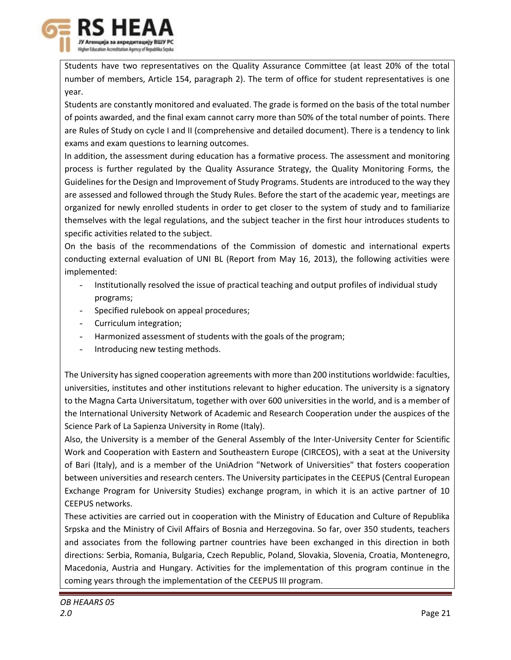

Students have two representatives on the Quality Assurance Committee (at least 20% of the total number of members, Article 154, paragraph 2). The term of office for student representatives is one year.

Students are constantly monitored and evaluated. The grade is formed on the basis of the total number of points awarded, and the final exam cannot carry more than 50% of the total number of points. There are Rules of Study on cycle I and II (comprehensive and detailed document). There is a tendency to link exams and exam questions to learning outcomes.

In addition, the assessment during education has a formative process. The assessment and monitoring process is further regulated by the Quality Assurance Strategy, the Quality Monitoring Forms, the Guidelines for the Design and Improvement of Study Programs. Students are introduced to the way they are assessed and followed through the Study Rules. Before the start of the academic year, meetings are organized for newly enrolled students in order to get closer to the system of study and to familiarize themselves with the legal regulations, and the subject teacher in the first hour introduces students to specific activities related to the subject.

On the basis of the recommendations of the Commission of domestic and international experts conducting external evaluation of UNI BL (Report from May 16, 2013), the following activities were implemented:

- Institutionally resolved the issue of practical teaching and output profiles of individual study programs;
- Specified rulebook on appeal procedures;
- Curriculum integration;
- Harmonized assessment of students with the goals of the program;
- Introducing new testing methods.

The University has signed cooperation agreements with more than 200 institutions worldwide: faculties, universities, institutes and other institutions relevant to higher education. The university is a signatory to the Magna Carta Universitatum, together with over 600 universities in the world, and is a member of the International University Network of Academic and Research Cooperation under the auspices of the Science Park of La Sapienza University in Rome (Italy).

Also, the University is a member of the General Assembly of the Inter-University Center for Scientific Work and Cooperation with Eastern and Southeastern Europe (CIRCEOS), with a seat at the University of Bari (Italy), and is a member of the UniAdrion "Network of Universities" that fosters cooperation between universities and research centers. The University participates in the CEEPUS (Central European Exchange Program for University Studies) exchange program, in which it is an active partner of 10 CEEPUS networks.

These activities are carried out in cooperation with the Ministry of Education and Culture of Republika Srpska and the Ministry of Civil Affairs of Bosnia and Herzegovina. So far, over 350 students, teachers and associates from the following partner countries have been exchanged in this direction in both directions: Serbia, Romania, Bulgaria, Czech Republic, Poland, Slovakia, Slovenia, Croatia, Montenegro, Macedonia, Austria and Hungary. Activities for the implementation of this program continue in the coming years through the implementation of the CEEPUS III program.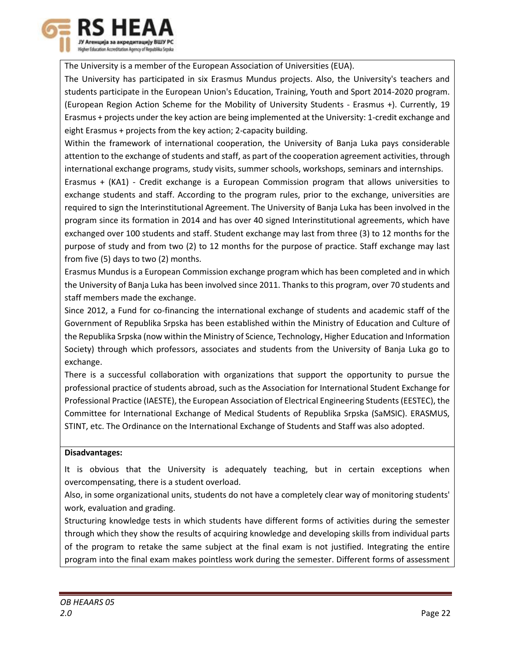

The University is a member of the European Association of Universities (EUA).

The University has participated in six Erasmus Mundus projects. Also, the University's teachers and students participate in the European Union's Education, Training, Youth and Sport 2014-2020 program. (European Region Action Scheme for the Mobility of University Students - Erasmus +). Currently, 19 Erasmus + projects under the key action are being implemented at the University: 1-credit exchange and eight Erasmus + projects from the key action; 2-capacity building.

Within the framework of international cooperation, the University of Banja Luka pays considerable attention to the exchange of students and staff, as part of the cooperation agreement activities, through international exchange programs, study visits, summer schools, workshops, seminars and internships.

Erasmus + (KA1) - Credit exchange is a European Commission program that allows universities to exchange students and staff. According to the program rules, prior to the exchange, universities are required to sign the Interinstitutional Agreement. The University of Banja Luka has been involved in the program since its formation in 2014 and has over 40 signed Interinstitutional agreements, which have exchanged over 100 students and staff. Student exchange may last from three (3) to 12 months for the purpose of study and from two (2) to 12 months for the purpose of practice. Staff exchange may last from five (5) days to two (2) months.

Erasmus Mundus is a European Commission exchange program which has been completed and in which the University of Banja Luka has been involved since 2011. Thanks to this program, over 70 students and staff members made the exchange.

Since 2012, a Fund for co-financing the international exchange of students and academic staff of the Government of Republika Srpska has been established within the Ministry of Education and Culture of the Republika Srpska (now within the Ministry of Science, Technology, Higher Education and Information Society) through which professors, associates and students from the University of Banja Luka go to exchange.

There is a successful collaboration with organizations that support the opportunity to pursue the professional practice of students abroad, such as the Association for International Student Exchange for Professional Practice (IAESTE), the European Association of Electrical Engineering Students (EESTEC), the Committee for International Exchange of Medical Students of Republika Srpska (SaMSIC). ERASMUS, STINT, etc. The Ordinance on the International Exchange of Students and Staff was also adopted.

# **Disadvantages:**

It is obvious that the University is adequately teaching, but in certain exceptions when overcompensating, there is a student overload.

Also, in some organizational units, students do not have a completely clear way of monitoring students' work, evaluation and grading.

Structuring knowledge tests in which students have different forms of activities during the semester through which they show the results of acquiring knowledge and developing skills from individual parts of the program to retake the same subject at the final exam is not justified. Integrating the entire program into the final exam makes pointless work during the semester. Different forms of assessment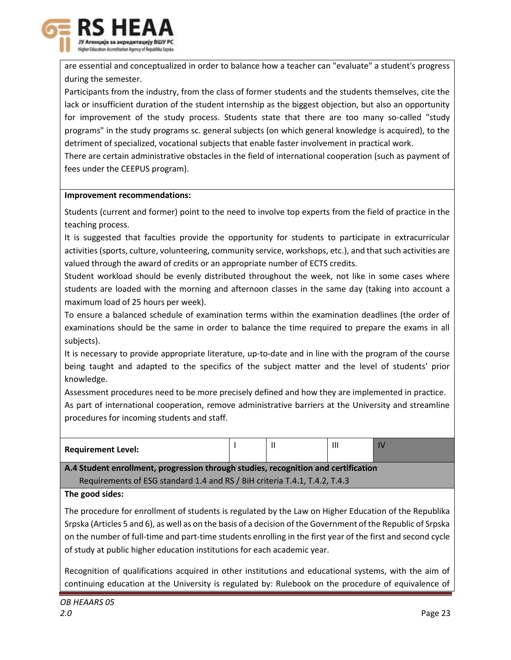

are essential and conceptualized in order to balance how a teacher can "evaluate" a student's progress during the semester.

Participants from the industry, from the class of former students and the students themselves, cite the lack or insufficient duration of the student internship as the biggest objection, but also an opportunity for improvement of the study process. Students state that there are too many so-called "study programs" in the study programs sc. general subjects (on which general knowledge is acquired), to the detriment of specialized, vocational subjects that enable faster involvement in practical work.

There are certain administrative obstacles in the field of international cooperation (such as payment of fees under the CEEPUS program).

# **Improvement recommendations:**

Students (current and former) point to the need to involve top experts from the field of practice in the teaching process.

It is suggested that faculties provide the opportunity for students to participate in extracurricular activities (sports, culture, volunteering, community service, workshops, etc.), and that such activities are valued through the award of credits or an appropriate number of ECTS credits.

Student workload should be evenly distributed throughout the week, not like in some cases where students are loaded with the morning and afternoon classes in the same day (taking into account a maximum load of 25 hours per week).

To ensure a balanced schedule of examination terms within the examination deadlines (the order of examinations should be the same in order to balance the time required to prepare the exams in all subjects).

It is necessary to provide appropriate literature, up-to-date and in line with the program of the course being taught and adapted to the specifics of the subject matter and the level of students' prior knowledge.

Assessment procedures need to be more precisely defined and how they are implemented in practice. As part of international cooperation, remove administrative barriers at the University and streamline procedures for incoming students and staff.

| $\mathbf{III}$<br><b>Requirement Level:</b><br>. . | --<br>__<br>______ | . . |  |
|----------------------------------------------------|--------------------|-----|--|
|                                                    |                    |     |  |

**A.4 Student enrollment, progression through studies, recognition and certification** Requirements of ESG standard 1.4 and RS / BiH criteria T.4.1, T.4.2, T.4.3

**The good sides:** 

The procedure for enrollment of students is regulated by the Law on Higher Education of the Republika Srpska (Articles 5 and 6), as well as on the basis of a decision of the Government of the Republic of Srpska on the number of full-time and part-time students enrolling in the first year of the first and second cycle of study at public higher education institutions for each academic year.

Recognition of qualifications acquired in other institutions and educational systems, with the aim of continuing education at the University is regulated by: Rulebook on the procedure of equivalence of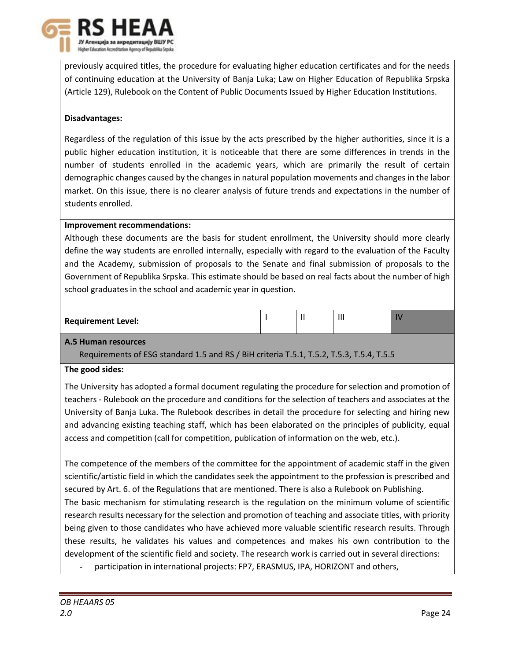

previously acquired titles, the procedure for evaluating higher education certificates and for the needs of continuing education at the University of Banja Luka; Law on Higher Education of Republika Srpska (Article 129), Rulebook on the Content of Public Documents Issued by Higher Education Institutions.

### **Disadvantages:**

Regardless of the regulation of this issue by the acts prescribed by the higher authorities, since it is a public higher education institution, it is noticeable that there are some differences in trends in the number of students enrolled in the academic years, which are primarily the result of certain demographic changes caused by the changes in natural population movements and changes in the labor market. On this issue, there is no clearer analysis of future trends and expectations in the number of students enrolled.

# **Improvement recommendations:**

Although these documents are the basis for student enrollment, the University should more clearly define the way students are enrolled internally, especially with regard to the evaluation of the Faculty and the Academy, submission of proposals to the Senate and final submission of proposals to the Government of Republika Srpska. This estimate should be based on real facts about the number of high school graduates in the school and academic year in question.

# **Requirement Level:**  $\begin{bmatrix} 1 & 1 \end{bmatrix}$  II  $\begin{bmatrix} 1 \end{bmatrix}$  III  $\begin{bmatrix} 1 \end{bmatrix}$  IV

# **A.5 Human resources**

Requirements of ESG standard 1.5 and RS / BiH criteria T.5.1, T.5.2, T.5.3, T.5.4, T.5.5

#### **The good sides:**

The University has adopted a formal document regulating the procedure for selection and promotion of teachers - Rulebook on the procedure and conditions for the selection of teachers and associates at the University of Banja Luka. The Rulebook describes in detail the procedure for selecting and hiring new and advancing existing teaching staff, which has been elaborated on the principles of publicity, equal access and competition (call for competition, publication of information on the web, etc.).

The competence of the members of the committee for the appointment of academic staff in the given scientific/artistic field in which the candidates seek the appointment to the profession is prescribed and secured by Art. 6. of the Regulations that are mentioned. There is also a Rulebook on Publishing. The basic mechanism for stimulating research is the regulation on the minimum volume of scientific research results necessary for the selection and promotion of teaching and associate titles, with priority being given to those candidates who have achieved more valuable scientific research results. Through these results, he validates his values and competences and makes his own contribution to the development of the scientific field and society. The research work is carried out in several directions:

participation in international projects: FP7, ERASMUS, IPA, HORIZONT and others,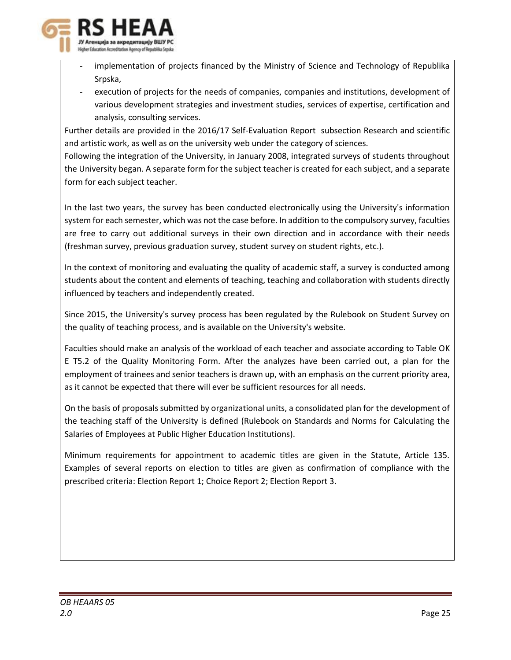

- implementation of projects financed by the Ministry of Science and Technology of Republika Srpska,
- execution of projects for the needs of companies, companies and institutions, development of various development strategies and investment studies, services of expertise, certification and analysis, consulting services.

Further details are provided in the 2016/17 Self-Evaluation Report subsection Research and scientific and artistic work, as well as on the university web under the category of sciences.

Following the integration of the University, in January 2008, integrated surveys of students throughout the University began. A separate form for the subject teacher is created for each subject, and a separate form for each subject teacher.

In the last two years, the survey has been conducted electronically using the University's information system for each semester, which was not the case before. In addition to the compulsory survey, faculties are free to carry out additional surveys in their own direction and in accordance with their needs (freshman survey, previous graduation survey, student survey on student rights, etc.).

In the context of monitoring and evaluating the quality of academic staff, a survey is conducted among students about the content and elements of teaching, teaching and collaboration with students directly influenced by teachers and independently created.

Since 2015, the University's survey process has been regulated by the Rulebook on Student Survey on the quality of teaching process, and is available on the University's website.

Faculties should make an analysis of the workload of each teacher and associate according to Table OK E T5.2 of the Quality Monitoring Form. After the analyzes have been carried out, a plan for the employment of trainees and senior teachers is drawn up, with an emphasis on the current priority area, as it cannot be expected that there will ever be sufficient resources for all needs.

On the basis of proposals submitted by organizational units, a consolidated plan for the development of the teaching staff of the University is defined (Rulebook on Standards and Norms for Calculating the Salaries of Employees at Public Higher Education Institutions).

Minimum requirements for appointment to academic titles are given in the Statute, Article 135. Examples of several reports on election to titles are given as confirmation of compliance with the prescribed criteria: Election Report 1; Choice Report 2; Election Report 3.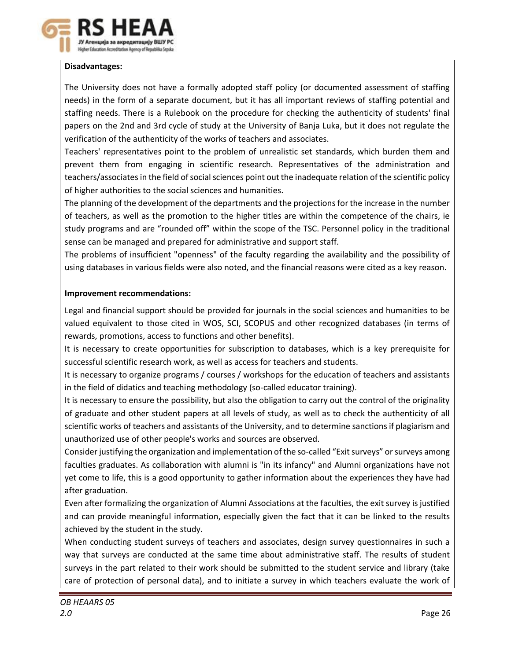

# **Disadvantages:**

The University does not have a formally adopted staff policy (or documented assessment of staffing needs) in the form of a separate document, but it has all important reviews of staffing potential and staffing needs. There is a Rulebook on the procedure for checking the authenticity of students' final papers on the 2nd and 3rd cycle of study at the University of Banja Luka, but it does not regulate the verification of the authenticity of the works of teachers and associates.

Teachers' representatives point to the problem of unrealistic set standards, which burden them and prevent them from engaging in scientific research. Representatives of the administration and teachers/associates in the field of social sciences point out the inadequate relation of the scientific policy of higher authorities to the social sciences and humanities.

The planning of the development of the departments and the projections for the increase in the number of teachers, as well as the promotion to the higher titles are within the competence of the chairs, ie study programs and are "rounded off" within the scope of the TSC. Personnel policy in the traditional sense can be managed and prepared for administrative and support staff.

The problems of insufficient "openness" of the faculty regarding the availability and the possibility of using databases in various fields were also noted, and the financial reasons were cited as a key reason.

# **Improvement recommendations:**

Legal and financial support should be provided for journals in the social sciences and humanities to be valued equivalent to those cited in WOS, SCI, SCOPUS and other recognized databases (in terms of rewards, promotions, access to functions and other benefits).

It is necessary to create opportunities for subscription to databases, which is a key prerequisite for successful scientific research work, as well as access for teachers and students.

It is necessary to organize programs / courses / workshops for the education of teachers and assistants in the field of didatics and teaching methodology (so-called educator training).

It is necessary to ensure the possibility, but also the obligation to carry out the control of the originality of graduate and other student papers at all levels of study, as well as to check the authenticity of all scientific works of teachers and assistants of the University, and to determine sanctions if plagiarism and unauthorized use of other people's works and sources are observed.

Consider justifying the organization and implementation of the so-called "Exit surveys" or surveys among faculties graduates. As collaboration with alumni is "in its infancy" and Alumni organizations have not yet come to life, this is a good opportunity to gather information about the experiences they have had after graduation.

Even after formalizing the organization of Alumni Associations at the faculties, the exit survey is justified and can provide meaningful information, especially given the fact that it can be linked to the results achieved by the student in the study.

When conducting student surveys of teachers and associates, design survey questionnaires in such a way that surveys are conducted at the same time about administrative staff. The results of student surveys in the part related to their work should be submitted to the student service and library (take care of protection of personal data), and to initiate a survey in which teachers evaluate the work of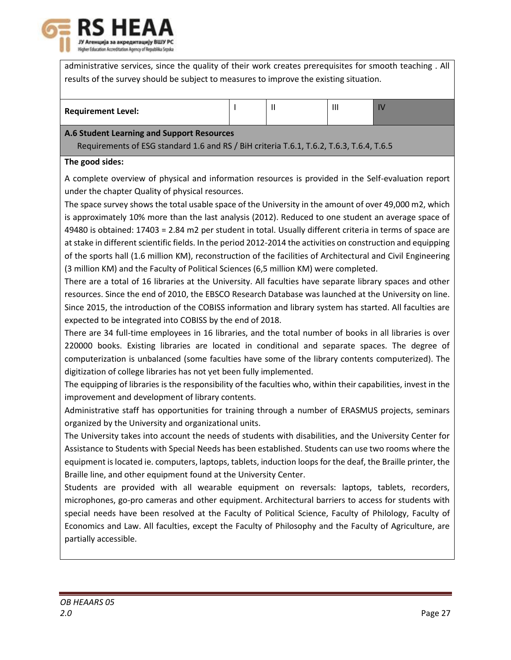

administrative services, since the quality of their work creates prerequisites for smooth teaching . All results of the survey should be subject to measures to improve the existing situation.

|--|

# **A.6 Student Learning and Support Resources**

Requirements of ESG standard 1.6 and RS / BiH criteria T.6.1, T.6.2, T.6.3, T.6.4, T.6.5

# **The good sides:**

A complete overview of physical and information resources is provided in the Self-evaluation report under the chapter Quality of physical resources.

The space survey shows the total usable space of the University in the amount of over 49,000 m2, which is approximately 10% more than the last analysis (2012). Reduced to one student an average space of 49480 is obtained: 17403 = 2.84 m2 per student in total. Usually different criteria in terms of space are at stake in different scientific fields. In the period 2012-2014 the activities on construction and equipping of the sports hall (1.6 million KM), reconstruction of the facilities of Architectural and Civil Engineering (3 million KM) and the Faculty of Political Sciences (6,5 million KM) were completed.

There are a total of 16 libraries at the University. All faculties have separate library spaces and other resources. Since the end of 2010, the EBSCO Research Database was launched at the University on line. Since 2015, the introduction of the COBISS information and library system has started. All faculties are expected to be integrated into COBISS by the end of 2018.

There are 34 full-time employees in 16 libraries, and the total number of books in all libraries is over 220000 books. Existing libraries are located in conditional and separate spaces. The degree of computerization is unbalanced (some faculties have some of the library contents computerized). The digitization of college libraries has not yet been fully implemented.

The equipping of libraries is the responsibility of the faculties who, within their capabilities, invest in the improvement and development of library contents.

Administrative staff has opportunities for training through a number of ERASMUS projects, seminars organized by the University and organizational units.

The University takes into account the needs of students with disabilities, and the University Center for Assistance to Students with Special Needs has been established. Students can use two rooms where the equipment is located ie. computers, laptops, tablets, induction loops for the deaf, the Braille printer, the Braille line, and other equipment found at the University Center.

Students are provided with all wearable equipment on reversals: laptops, tablets, recorders, microphones, go-pro cameras and other equipment. Architectural barriers to access for students with special needs have been resolved at the Faculty of Political Science, Faculty of Philology, Faculty of Economics and Law. All faculties, except the Faculty of Philosophy and the Faculty of Agriculture, are partially accessible.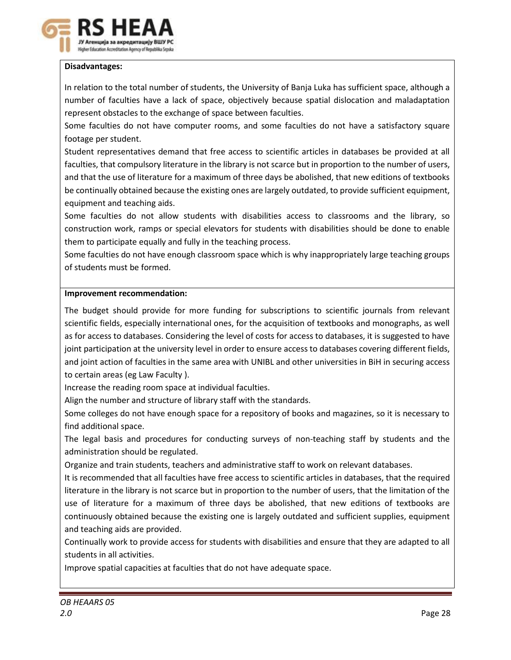

# **Disadvantages:**

In relation to the total number of students, the University of Banja Luka has sufficient space, although a number of faculties have a lack of space, objectively because spatial dislocation and maladaptation represent obstacles to the exchange of space between faculties.

Some faculties do not have computer rooms, and some faculties do not have a satisfactory square footage per student.

Student representatives demand that free access to scientific articles in databases be provided at all faculties, that compulsory literature in the library is not scarce but in proportion to the number of users, and that the use of literature for a maximum of three days be abolished, that new editions of textbooks be continually obtained because the existing ones are largely outdated, to provide sufficient equipment, equipment and teaching aids.

Some faculties do not allow students with disabilities access to classrooms and the library, so construction work, ramps or special elevators for students with disabilities should be done to enable them to participate equally and fully in the teaching process.

Some faculties do not have enough classroom space which is why inappropriately large teaching groups of students must be formed.

#### **Improvement recommendation:**

The budget should provide for more funding for subscriptions to scientific journals from relevant scientific fields, especially international ones, for the acquisition of textbooks and monographs, as well as for access to databases. Considering the level of costs for access to databases, it is suggested to have joint participation at the university level in order to ensure access to databases covering different fields, and joint action of faculties in the same area with UNIBL and other universities in BiH in securing access to certain areas (eg Law Faculty ).

Increase the reading room space at individual faculties.

Align the number and structure of library staff with the standards.

Some colleges do not have enough space for a repository of books and magazines, so it is necessary to find additional space.

The legal basis and procedures for conducting surveys of non-teaching staff by students and the administration should be regulated.

Organize and train students, teachers and administrative staff to work on relevant databases.

It is recommended that all faculties have free access to scientific articles in databases, that the required literature in the library is not scarce but in proportion to the number of users, that the limitation of the use of literature for a maximum of three days be abolished, that new editions of textbooks are continuously obtained because the existing one is largely outdated and sufficient supplies, equipment and teaching aids are provided.

Continually work to provide access for students with disabilities and ensure that they are adapted to all students in all activities.

Improve spatial capacities at faculties that do not have adequate space.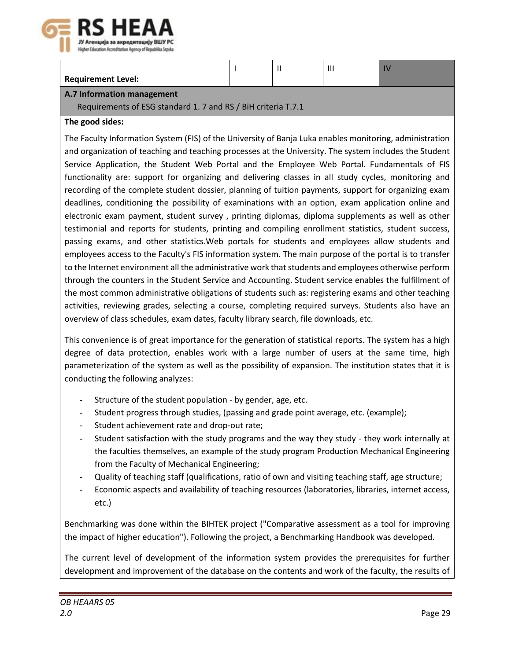

| <b>Requirement Level:</b> |  |  |
|---------------------------|--|--|
|                           |  |  |

### **A.7 Information management**

Requirements of ESG standard 1. 7 and RS / BiH criteria T.7.1

# **The good sides:**

The Faculty Information System (FIS) of the University of Banja Luka enables monitoring, administration and organization of teaching and teaching processes at the University. The system includes the Student Service Application, the Student Web Portal and the Employee Web Portal. Fundamentals of FIS functionality are: support for organizing and delivering classes in all study cycles, monitoring and recording of the complete student dossier, planning of tuition payments, support for organizing exam deadlines, conditioning the possibility of examinations with an option, exam application online and electronic exam payment, student survey , printing diplomas, diploma supplements as well as other testimonial and reports for students, printing and compiling enrollment statistics, student success, passing exams, and other statistics.Web portals for students and employees allow students and employees access to the Faculty's FIS information system. The main purpose of the portal is to transfer to the Internet environment all the administrative work that students and employees otherwise perform through the counters in the Student Service and Accounting. Student service enables the fulfillment of the most common administrative obligations of students such as: registering exams and other teaching activities, reviewing grades, selecting a course, completing required surveys. Students also have an overview of class schedules, exam dates, faculty library search, file downloads, etc.

This convenience is of great importance for the generation of statistical reports. The system has a high degree of data protection, enables work with a large number of users at the same time, high parameterization of the system as well as the possibility of expansion. The institution states that it is conducting the following analyzes:

- Structure of the student population by gender, age, etc.
- Student progress through studies, (passing and grade point average, etc. (example);
- Student achievement rate and drop-out rate;
- Student satisfaction with the study programs and the way they study they work internally at the faculties themselves, an example of the study program Production Mechanical Engineering from the Faculty of Mechanical Engineering;
- Quality of teaching staff (qualifications, ratio of own and visiting teaching staff, age structure;
- Economic aspects and availability of teaching resources (laboratories, libraries, internet access, etc.)

Benchmarking was done within the BIHTEK project ("Comparative assessment as a tool for improving the impact of higher education"). Following the project, a Benchmarking Handbook was developed.

The current level of development of the information system provides the prerequisites for further development and improvement of the database on the contents and work of the faculty, the results of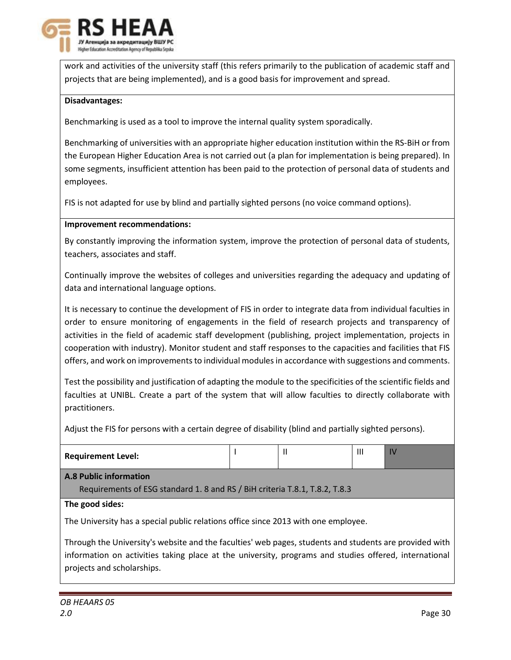

work and activities of the university staff (this refers primarily to the publication of academic staff and projects that are being implemented), and is a good basis for improvement and spread.

# **Disadvantages:**

Benchmarking is used as a tool to improve the internal quality system sporadically.

Benchmarking of universities with an appropriate higher education institution within the RS-BiH or from the European Higher Education Area is not carried out (a plan for implementation is being prepared). In some segments, insufficient attention has been paid to the protection of personal data of students and employees.

FIS is not adapted for use by blind and partially sighted persons (no voice command options).

# **Improvement recommendations:**

By constantly improving the information system, improve the protection of personal data of students, teachers, associates and staff.

Continually improve the websites of colleges and universities regarding the adequacy and updating of data and international language options.

It is necessary to continue the development of FIS in order to integrate data from individual faculties in order to ensure monitoring of engagements in the field of research projects and transparency of activities in the field of academic staff development (publishing, project implementation, projects in cooperation with industry). Monitor student and staff responses to the capacities and facilities that FIS offers, and work on improvements to individual modules in accordance with suggestions and comments.

Test the possibility and justification of adapting the module to the specificities of the scientific fields and faculties at UNIBL. Create a part of the system that will allow faculties to directly collaborate with practitioners.

Adjust the FIS for persons with a certain degree of disability (blind and partially sighted persons).

| <b>Requirement Level:</b>                                                                              |  |  | Ш | IV |  |  |  |  |
|--------------------------------------------------------------------------------------------------------|--|--|---|----|--|--|--|--|
| <b>A.8 Public information</b>                                                                          |  |  |   |    |  |  |  |  |
| Requirements of ESG standard 1.8 and RS / BiH criteria T.8.1, T.8.2, T.8.3                             |  |  |   |    |  |  |  |  |
| The good sides:                                                                                        |  |  |   |    |  |  |  |  |
| The University has a special public relations office since 2013 with one employee.                     |  |  |   |    |  |  |  |  |
| Through the University's website and the faculties' web pages, students and students are provided with |  |  |   |    |  |  |  |  |

information on activities taking place at the university, programs and studies offered, international projects and scholarships.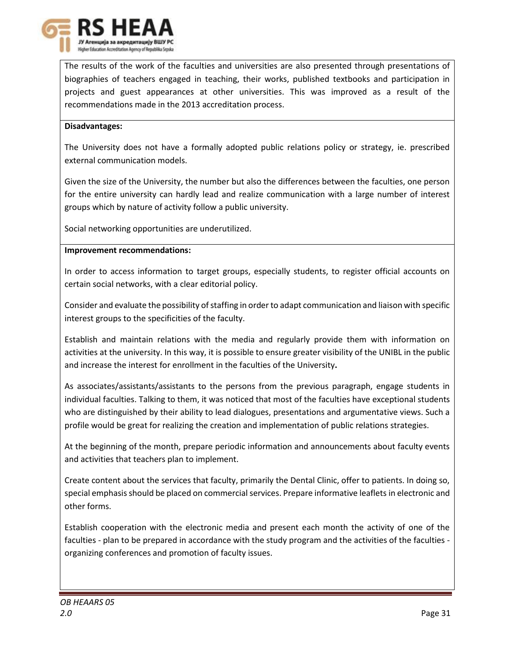

The results of the work of the faculties and universities are also presented through presentations of biographies of teachers engaged in teaching, their works, published textbooks and participation in projects and guest appearances at other universities. This was improved as a result of the recommendations made in the 2013 accreditation process.

#### **Disadvantages:**

The University does not have a formally adopted public relations policy or strategy, ie. prescribed external communication models.

Given the size of the University, the number but also the differences between the faculties, one person for the entire university can hardly lead and realize communication with a large number of interest groups which by nature of activity follow a public university.

Social networking opportunities are underutilized.

#### **Improvement recommendations:**

In order to access information to target groups, especially students, to register official accounts on certain social networks, with a clear editorial policy.

Consider and evaluate the possibility of staffing in order to adapt communication and liaison with specific interest groups to the specificities of the faculty.

Establish and maintain relations with the media and regularly provide them with information on activities at the university. In this way, it is possible to ensure greater visibility of the UNIBL in the public and increase the interest for enrollment in the faculties of the University**.**

As associates/assistants/assistants to the persons from the previous paragraph, engage students in individual faculties. Talking to them, it was noticed that most of the faculties have exceptional students who are distinguished by their ability to lead dialogues, presentations and argumentative views. Such a profile would be great for realizing the creation and implementation of public relations strategies.

At the beginning of the month, prepare periodic information and announcements about faculty events and activities that teachers plan to implement.

Create content about the services that faculty, primarily the Dental Clinic, offer to patients. In doing so, special emphasis should be placed on commercial services. Prepare informative leaflets in electronic and other forms.

Establish cooperation with the electronic media and present each month the activity of one of the faculties - plan to be prepared in accordance with the study program and the activities of the faculties organizing conferences and promotion of faculty issues.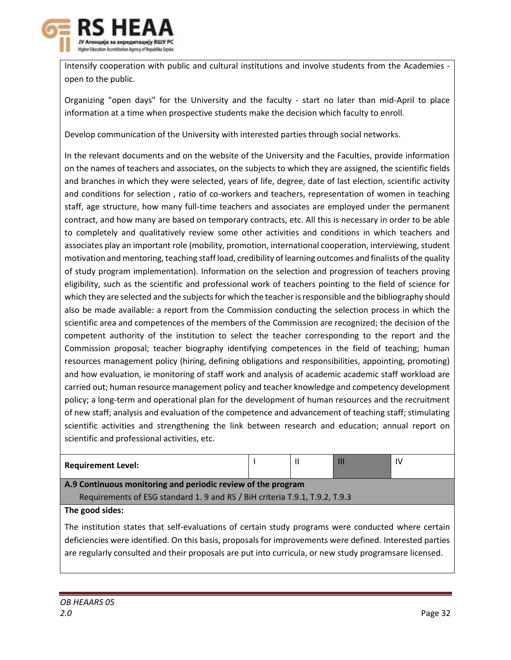

Intensify cooperation with public and cultural institutions and involve students from the Academies open to the public.

Organizing "open days" for the University and the faculty - start no later than mid-April to place information at a time when prospective students make the decision which faculty to enroll.

Develop communication of the University with interested parties through social networks.

In the relevant documents and on the website of the University and the Faculties, provide information on the names of teachers and associates, on the subjects to which they are assigned, the scientific fields and branches in which they were selected, years of life, degree, date of last election, scientific activity and conditions for selection , ratio of co-workers and teachers, representation of women in teaching staff, age structure, how many full-time teachers and associates are employed under the permanent contract, and how many are based on temporary contracts, etc. All this is necessary in order to be able to completely and qualitatively review some other activities and conditions in which teachers and associates play an important role (mobility, promotion, international cooperation, interviewing, student motivation and mentoring, teaching staff load, credibility of learning outcomes and finalists of the quality of study program implementation). Information on the selection and progression of teachers proving eligibility, such as the scientific and professional work of teachers pointing to the field of science for which they are selected and the subjects for which the teacher is responsible and the bibliography should also be made available: a report from the Commission conducting the selection process in which the scientific area and competences of the members of the Commission are recognized; the decision of the competent authority of the institution to select the teacher corresponding to the report and the Commission proposal; teacher biography identifying competences in the field of teaching; human resources management policy (hiring, defining obligations and responsibilities, appointing, promoting) and how evaluation, ie monitoring of staff work and analysis of academic academic staff workload are carried out; human resource management policy and teacher knowledge and competency development policy; a long-term and operational plan for the development of human resources and the recruitment of new staff; analysis and evaluation of the competence and advancement of teaching staff; stimulating scientific activities and strengthening the link between research and education; annual report on scientific and professional activities, etc.

| <b>Requirement Level:</b>                                                  |  |  | Ш | IV |  |  |  |
|----------------------------------------------------------------------------|--|--|---|----|--|--|--|
| A.9 Continuous monitoring and periodic review of the program               |  |  |   |    |  |  |  |
| Requirements of ESG standard 1.9 and RS / BiH criteria T.9.1, T.9.2, T.9.3 |  |  |   |    |  |  |  |
|                                                                            |  |  |   |    |  |  |  |

# **The good sides:**

The institution states that self-evaluations of certain study programs were conducted where certain deficiencies were identified. On this basis, proposals for improvements were defined. Interested parties are regularly consulted and their proposals are put into curricula, or new study programsare licensed.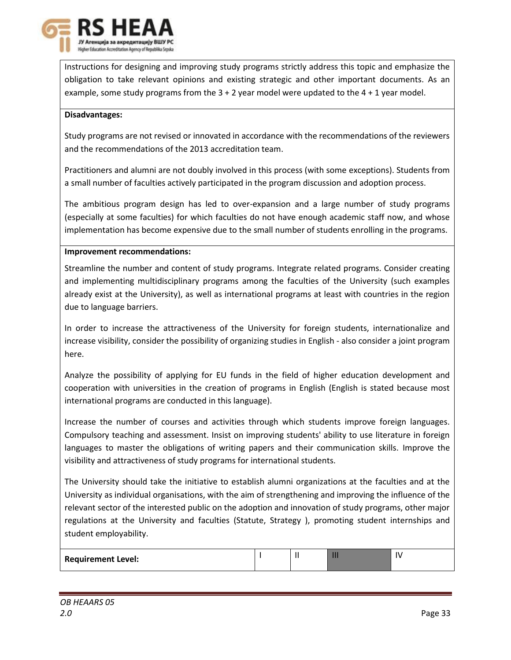

Instructions for designing and improving study programs strictly address this topic and emphasize the obligation to take relevant opinions and existing strategic and other important documents. As an example, some study programs from the  $3 + 2$  year model were updated to the  $4 + 1$  year model.

#### **Disadvantages:**

Study programs are not revised or innovated in accordance with the recommendations of the reviewers and the recommendations of the 2013 accreditation team.

Practitioners and alumni are not doubly involved in this process (with some exceptions). Students from a small number of faculties actively participated in the program discussion and adoption process.

The ambitious program design has led to over-expansion and a large number of study programs (especially at some faculties) for which faculties do not have enough academic staff now, and whose implementation has become expensive due to the small number of students enrolling in the programs.

#### **Improvement recommendations:**

Streamline the number and content of study programs. Integrate related programs. Consider creating and implementing multidisciplinary programs among the faculties of the University (such examples already exist at the University), as well as international programs at least with countries in the region due to language barriers.

In order to increase the attractiveness of the University for foreign students, internationalize and increase visibility, consider the possibility of organizing studies in English - also consider a joint program here.

Analyze the possibility of applying for EU funds in the field of higher education development and cooperation with universities in the creation of programs in English (English is stated because most international programs are conducted in this language).

Increase the number of courses and activities through which students improve foreign languages. Compulsory teaching and assessment. Insist on improving students' ability to use literature in foreign languages to master the obligations of writing papers and their communication skills. Improve the visibility and attractiveness of study programs for international students.

The University should take the initiative to establish alumni organizations at the faculties and at the University as individual organisations, with the aim of strengthening and improving the influence of the relevant sector of the interested public on the adoption and innovation of study programs, other major regulations at the University and faculties (Statute, Strategy ), promoting student internships and student employability.

| <b>Requirement Level:</b> |  | ш | I٧ |
|---------------------------|--|---|----|
|                           |  |   |    |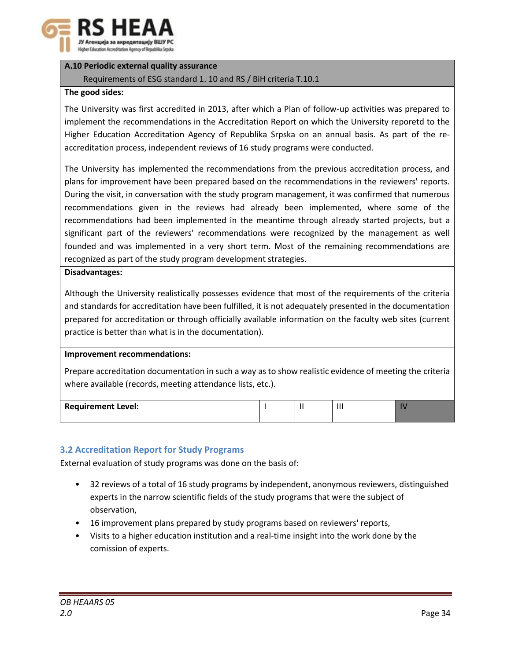

# **A.10 Periodic external quality assurance**

# Requirements of ESG standard 1. 10 and RS / BiH criteria T.10.1

### **The good sides:**

The University was first accredited in 2013, after which a Plan of follow-up activities was prepared to implement the recommendations in the Accreditation Report on which the University reporetd to the Higher Education Accreditation Agency of Republika Srpska on an annual basis. As part of the reaccreditation process, independent reviews of 16 study programs were conducted.

The University has implemented the recommendations from the previous accreditation process, and plans for improvement have been prepared based on the recommendations in the reviewers' reports. During the visit, in conversation with the study program management, it was confirmed that numerous recommendations given in the reviews had already been implemented, where some of the recommendations had been implemented in the meantime through already started projects, but a significant part of the reviewers' recommendations were recognized by the management as well founded and was implemented in a very short term. Most of the remaining recommendations are recognized as part of the study program development strategies.

#### **Disadvantages:**

Although the University realistically possesses evidence that most of the requirements of the criteria and standards for accreditation have been fulfilled, it is not adequately presented in the documentation prepared for accreditation or through officially available information on the faculty web sites (current practice is better than what is in the documentation).

# **Improvement recommendations:**

Prepare accreditation documentation in such a way as to show realistic evidence of meeting the criteria where available (records, meeting attendance lists, etc.).

| <b>Requirement Level:</b> | . . | $\cdots$<br> |  |
|---------------------------|-----|--------------|--|
|                           |     |              |  |

# **3.2 Accreditation Report for Study Programs**

External evaluation of study programs was done on the basis of:

- 32 reviews of a total of 16 study programs by independent, anonymous reviewers, distinguished experts in the narrow scientific fields of the study programs that were the subject of observation,
- 16 improvement plans prepared by study programs based on reviewers' reports,
- Visits to a higher education institution and a real-time insight into the work done by the comission of experts.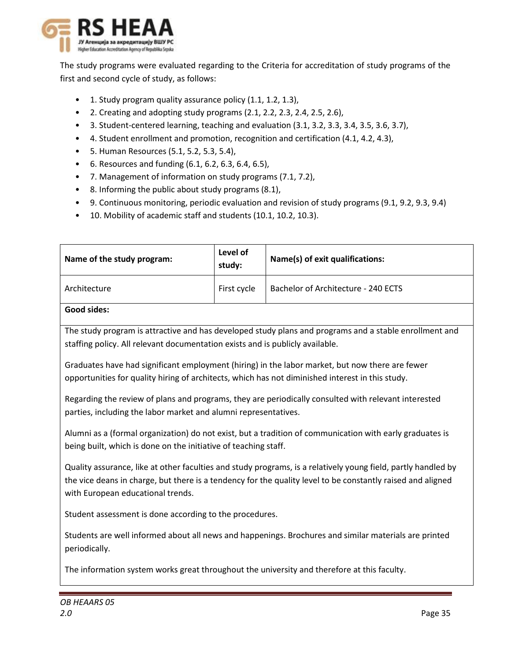

The study programs were evaluated regarding to the Criteria for accreditation of study programs of the first and second cycle of study, as follows:

- 1. Study program quality assurance policy (1.1, 1.2, 1.3),
- 2. Creating and adopting study programs (2.1, 2.2, 2.3, 2.4, 2.5, 2.6),
- 3. Student-centered learning, teaching and evaluation (3.1, 3.2, 3.3, 3.4, 3.5, 3.6, 3.7),
- 4. Student enrollment and promotion, recognition and certification (4.1, 4.2, 4.3),
- 5. Human Resources (5.1, 5.2, 5.3, 5.4),
- 6. Resources and funding (6.1, 6.2, 6.3, 6.4, 6.5),
- 7. Management of information on study programs (7.1, 7.2),
- 8. Informing the public about study programs (8.1),
- 9. Continuous monitoring, periodic evaluation and revision of study programs (9.1, 9.2, 9.3, 9.4)
- 10. Mobility of academic staff and students (10.1, 10.2, 10.3).

| Name of the study program:                                                                                                                                                                                                                                        | Level of<br>study:                  | Name(s) of exit qualifications:                                                                          |  |  |  |  |  |  |  |
|-------------------------------------------------------------------------------------------------------------------------------------------------------------------------------------------------------------------------------------------------------------------|-------------------------------------|----------------------------------------------------------------------------------------------------------|--|--|--|--|--|--|--|
| Architecture                                                                                                                                                                                                                                                      | Bachelor of Architecture - 240 ECTS |                                                                                                          |  |  |  |  |  |  |  |
| <b>Good sides:</b>                                                                                                                                                                                                                                                |                                     |                                                                                                          |  |  |  |  |  |  |  |
| The study program is attractive and has developed study plans and programs and a stable enrollment and<br>staffing policy. All relevant documentation exists and is publicly available.                                                                           |                                     |                                                                                                          |  |  |  |  |  |  |  |
| Graduates have had significant employment (hiring) in the labor market, but now there are fewer<br>opportunities for quality hiring of architects, which has not diminished interest in this study.                                                               |                                     |                                                                                                          |  |  |  |  |  |  |  |
| parties, including the labor market and alumni representatives.                                                                                                                                                                                                   |                                     | Regarding the review of plans and programs, they are periodically consulted with relevant interested     |  |  |  |  |  |  |  |
| being built, which is done on the initiative of teaching staff.                                                                                                                                                                                                   |                                     | Alumni as a (formal organization) do not exist, but a tradition of communication with early graduates is |  |  |  |  |  |  |  |
| Quality assurance, like at other faculties and study programs, is a relatively young field, partly handled by<br>the vice deans in charge, but there is a tendency for the quality level to be constantly raised and aligned<br>with European educational trends. |                                     |                                                                                                          |  |  |  |  |  |  |  |
| Student assessment is done according to the procedures.                                                                                                                                                                                                           |                                     |                                                                                                          |  |  |  |  |  |  |  |
| Students are well informed about all news and happenings. Brochures and similar materials are printed<br>periodically.                                                                                                                                            |                                     |                                                                                                          |  |  |  |  |  |  |  |
| The information system works great throughout the university and therefore at this faculty.                                                                                                                                                                       |                                     |                                                                                                          |  |  |  |  |  |  |  |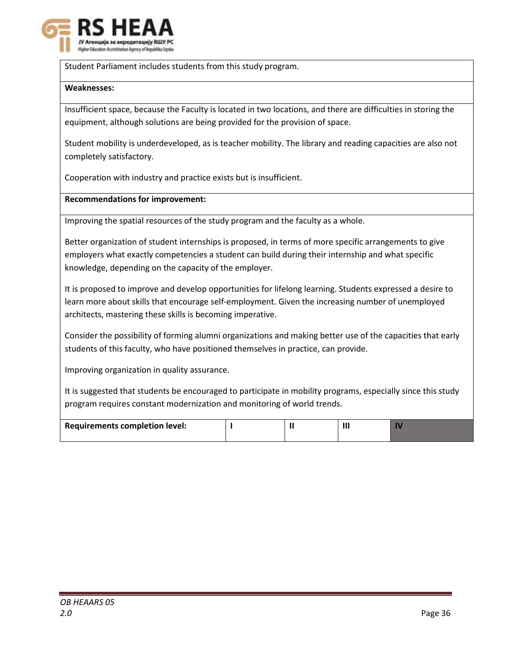

Student Parliament includes students from this study program.

#### **Weaknesses:**

Insufficient space, because the Faculty is located in two locations, and there are difficulties in storing the equipment, although solutions are being provided for the provision of space.

Student mobility is underdeveloped, as is teacher mobility. The library and reading capacities are also not completely satisfactory.

Cooperation with industry and practice exists but is insufficient.

#### **Recommendations for improvement:**

Improving the spatial resources of the study program and the faculty as a whole.

Better organization of student internships is proposed, in terms of more specific arrangements to give employers what exactly competencies a student can build during their internship and what specific knowledge, depending on the capacity of the employer.

It is proposed to improve and develop opportunities for lifelong learning. Students expressed a desire to learn more about skills that encourage self-employment. Given the increasing number of unemployed architects, mastering these skills is becoming imperative.

Consider the possibility of forming alumni organizations and making better use of the capacities that early students of this faculty, who have positioned themselves in practice, can provide.

Improving organization in quality assurance.

It is suggested that students be encouraged to participate in mobility programs, especially since this study program requires constant modernization and monitoring of world trends.

| Requirements completion level: |  |  |
|--------------------------------|--|--|
|                                |  |  |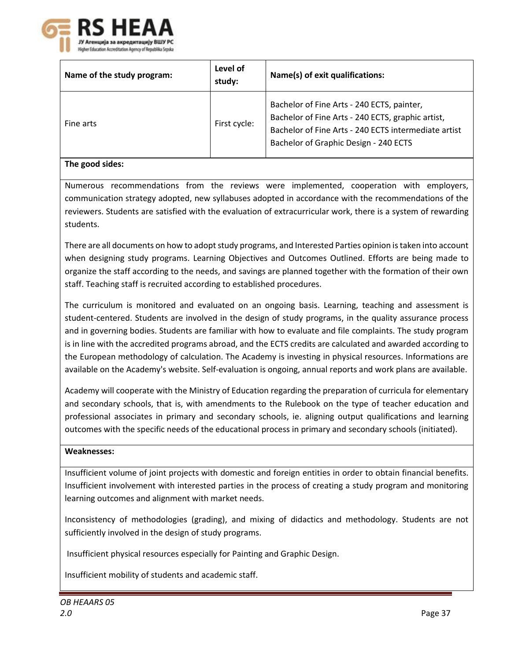

| Name of the study program: | Level of<br>study: | Name(s) of exit qualifications:                                                                                                                                                                  |  |  |  |
|----------------------------|--------------------|--------------------------------------------------------------------------------------------------------------------------------------------------------------------------------------------------|--|--|--|
| Fine arts                  | First cycle:       | Bachelor of Fine Arts - 240 ECTS, painter,<br>Bachelor of Fine Arts - 240 ECTS, graphic artist,<br>Bachelor of Fine Arts - 240 ECTS intermediate artist<br>Bachelor of Graphic Design - 240 ECTS |  |  |  |

#### **The good sides:**

Numerous recommendations from the reviews were implemented, cooperation with employers, communication strategy adopted, new syllabuses adopted in accordance with the recommendations of the reviewers. Students are satisfied with the evaluation of extracurricular work, there is a system of rewarding students.

There are all documents on how to adopt study programs, and Interested Parties opinion is taken into account when designing study programs. Learning Objectives and Outcomes Outlined. Efforts are being made to organize the staff according to the needs, and savings are planned together with the formation of their own staff. Teaching staff is recruited according to established procedures.

The curriculum is monitored and evaluated on an ongoing basis. Learning, teaching and assessment is student-centered. Students are involved in the design of study programs, in the quality assurance process and in governing bodies. Students are familiar with how to evaluate and file complaints. The study program is in line with the accredited programs abroad, and the ECTS credits are calculated and awarded according to the European methodology of calculation. The Academy is investing in physical resources. Informations are available on the Academy's website. Self-evaluation is ongoing, annual reports and work plans are available.

Academy will cooperate with the Ministry of Education regarding the preparation of curricula for elementary and secondary schools, that is, with amendments to the Rulebook on the type of teacher education and professional associates in primary and secondary schools, ie. aligning output qualifications and learning outcomes with the specific needs of the educational process in primary and secondary schools (initiated).

# **Weaknesses:**

Insufficient volume of joint projects with domestic and foreign entities in order to obtain financial benefits. Insufficient involvement with interested parties in the process of creating a study program and monitoring learning outcomes and alignment with market needs.

Inconsistency of methodologies (grading), and mixing of didactics and methodology. Students are not sufficiently involved in the design of study programs.

Insufficient physical resources especially for Painting and Graphic Design.

Insufficient mobility of students and academic staff.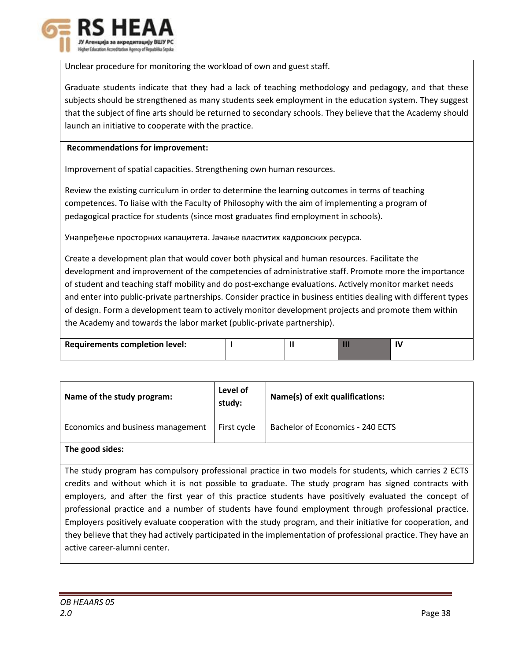

Unclear procedure for monitoring the workload of own and guest staff.

Graduate students indicate that they had a lack of teaching methodology and pedagogy, and that these subjects should be strengthened as many students seek employment in the education system. They suggest that the subject of fine arts should be returned to secondary schools. They believe that the Academy should launch an initiative to cooperate with the practice.

### **Recommendations for improvement:**

Improvement of spatial capacities. Strengthening own human resources.

Review the existing curriculum in order to determine the learning outcomes in terms of teaching competences. To liaise with the Faculty of Philosophy with the aim of implementing a program of pedagogical practice for students (since most graduates find employment in schools).

Унапређење просторних капацитета. Јачање властитих кадровских ресурса.

Create a development plan that would cover both physical and human resources. Facilitate the development and improvement of the competencies of administrative staff. Promote more the importance of student and teaching staff mobility and do post-exchange evaluations. Actively monitor market needs and enter into public-private partnerships. Consider practice in business entities dealing with different types of design. Form a development team to actively monitor development projects and promote them within the Academy and towards the labor market (public-private partnership).

| <b>Requirements completion level:</b> |  |  |
|---------------------------------------|--|--|
|                                       |  |  |

| Name of the study program:        | Level of<br>study: | Name(s) of exit qualifications:  |  |  |  |  |
|-----------------------------------|--------------------|----------------------------------|--|--|--|--|
| Economics and business management | First cycle        | Bachelor of Economics - 240 ECTS |  |  |  |  |
|                                   |                    |                                  |  |  |  |  |

# **The good sides:**

The study program has compulsory professional practice in two models for students, which carries 2 ECTS credits and without which it is not possible to graduate. The study program has signed contracts with employers, and after the first year of this practice students have positively evaluated the concept of professional practice and a number of students have found employment through professional practice. Employers positively evaluate cooperation with the study program, and their initiative for cooperation, and they believe that they had actively participated in the implementation of professional practice. They have an active career-alumni center.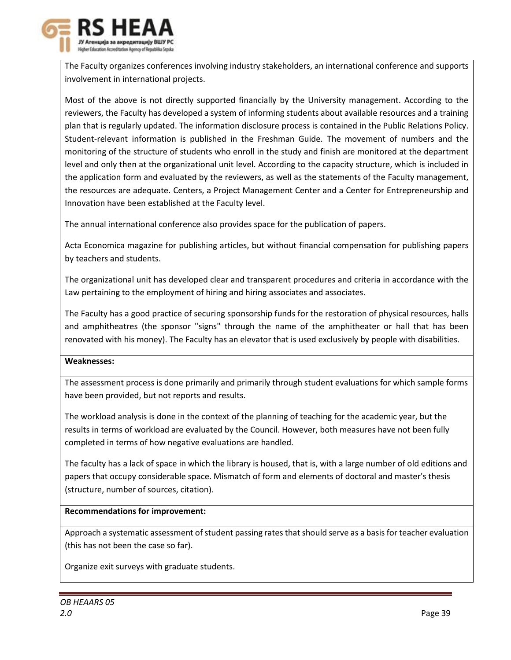

The Faculty organizes conferences involving industry stakeholders, an international conference and supports involvement in international projects.

Most of the above is not directly supported financially by the University management. According to the reviewers, the Faculty has developed a system of informing students about available resources and a training plan that is regularly updated. The information disclosure process is contained in the Public Relations Policy. Student-relevant information is published in the Freshman Guide. The movement of numbers and the monitoring of the structure of students who enroll in the study and finish are monitored at the department level and only then at the organizational unit level. According to the capacity structure, which is included in the application form and evaluated by the reviewers, as well as the statements of the Faculty management, the resources are adequate. Centers, a Project Management Center and a Center for Entrepreneurship and Innovation have been established at the Faculty level.

The annual international conference also provides space for the publication of papers.

Acta Economica magazine for publishing articles, but without financial compensation for publishing papers by teachers and students.

The organizational unit has developed clear and transparent procedures and criteria in accordance with the Law pertaining to the employment of hiring and hiring associates and associates.

The Faculty has a good practice of securing sponsorship funds for the restoration of physical resources, halls and amphitheatres (the sponsor "signs" through the name of the amphitheater or hall that has been renovated with his money). The Faculty has an elevator that is used exclusively by people with disabilities.

# **Weaknesses:**

The assessment process is done primarily and primarily through student evaluations for which sample forms have been provided, but not reports and results.

The workload analysis is done in the context of the planning of teaching for the academic year, but the results in terms of workload are evaluated by the Council. However, both measures have not been fully completed in terms of how negative evaluations are handled.

The faculty has a lack of space in which the library is housed, that is, with a large number of old editions and papers that occupy considerable space. Mismatch of form and elements of doctoral and master's thesis (structure, number of sources, citation).

# **Recommendations for improvement:**

Approach a systematic assessment of student passing rates that should serve as a basis for teacher evaluation (this has not been the case so far).

Organize exit surveys with graduate students.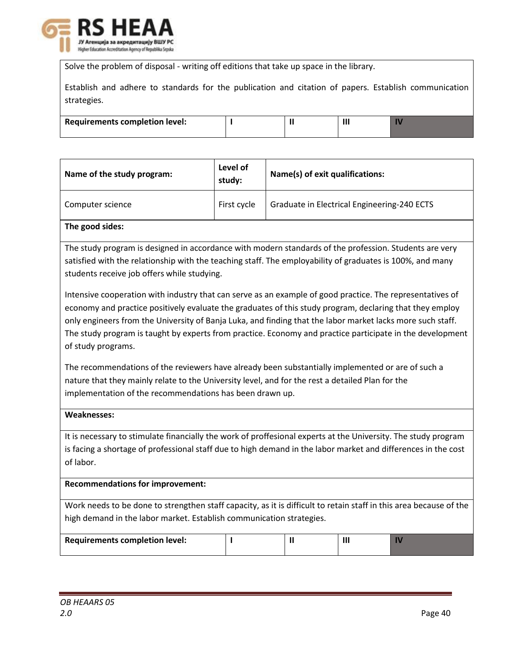

Solve the problem of disposal - writing off editions that take up space in the library.

|             |  |  |  | Establish and adhere to standards for the publication and citation of papers. Establish communication |  |  |  |  |
|-------------|--|--|--|-------------------------------------------------------------------------------------------------------|--|--|--|--|
| strategies. |  |  |  |                                                                                                       |  |  |  |  |

| <b>Requirements completion level:</b> |  | Ш |  |
|---------------------------------------|--|---|--|
|                                       |  |   |  |

| Name of the study program: | Level of<br>study: | Name(s) of exit qualifications:             |
|----------------------------|--------------------|---------------------------------------------|
| Computer science           | First cycle        | Graduate in Electrical Engineering-240 ECTS |
|                            |                    |                                             |

#### **The good sides:**

The study program is designed in accordance with modern standards of the profession. Students are very satisfied with the relationship with the teaching staff. The employability of graduates is 100%, and many students receive job offers while studying.

Intensive cooperation with industry that can serve as an example of good practice. The representatives of economy and practice positively evaluate the graduates of this study program, declaring that they employ only engineers from the University of Banja Luka, and finding that the labor market lacks more such staff. The study program is taught by experts from practice. Economy and practice participate in the development of study programs.

The recommendations of the reviewers have already been substantially implemented or are of such a nature that they mainly relate to the University level, and for the rest a detailed Plan for the implementation of the recommendations has been drawn up.

#### **Weaknesses:**

It is necessary to stimulate financially the work of proffesional experts at the University. The study program is facing a shortage of professional staff due to high demand in the labor market and differences in the cost of labor.

#### **Recommendations for improvement:**

Work needs to be done to strengthen staff capacity, as it is difficult to retain staff in this area because of the high demand in the labor market. Establish communication strategies.

| Requirements completion level: |  |  |
|--------------------------------|--|--|
|                                |  |  |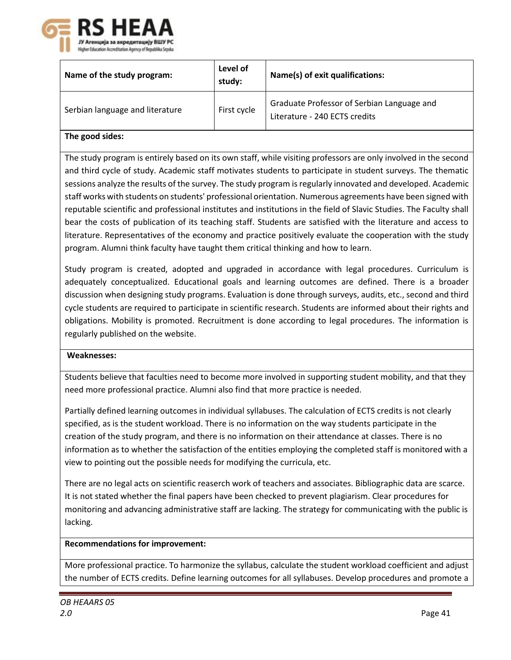

| Name of the study program:                                                                                      | Level of<br>study: | Name(s) of exit qualifications:                                             |  |  |  |
|-----------------------------------------------------------------------------------------------------------------|--------------------|-----------------------------------------------------------------------------|--|--|--|
| Serbian language and literature                                                                                 | First cycle        | Graduate Professor of Serbian Language and<br>Literature - 240 ECTS credits |  |  |  |
| The good sides:                                                                                                 |                    |                                                                             |  |  |  |
| The study program is entirely based on its own staff, while visiting professors are only involved in the second |                    |                                                                             |  |  |  |

and third cycle of study. Academic staff motivates students to participate in student surveys. The thematic sessions analyze the results of the survey. The study program is regularly innovated and developed. Academic staff works with students on students' professional orientation. Numerous agreements have been signed with reputable scientific and professional institutes and institutions in the field of Slavic Studies. The Faculty shall bear the costs of publication of its teaching staff. Students are satisfied with the literature and access to literature. Representatives of the economy and practice positively evaluate the cooperation with the study program. Alumni think faculty have taught them critical thinking and how to learn.

Study program is created, adopted and upgraded in accordance with legal procedures. Curriculum is adequately conceptualized. Educational goals and learning outcomes are defined. There is a broader discussion when designing study programs. Evaluation is done through surveys, audits, etc., second and third cycle students are required to participate in scientific research. Students are informed about their rights and obligations. Mobility is promoted. Recruitment is done according to legal procedures. The information is regularly published on the website.

# **Weaknesses:**

Students believe that faculties need to become more involved in supporting student mobility, and that they need more professional practice. Alumni also find that more practice is needed.

Partially defined learning outcomes in individual syllabuses. The calculation of ECTS credits is not clearly specified, as is the student workload. There is no information on the way students participate in the creation of the study program, and there is no information on their attendance at classes. There is no information as to whether the satisfaction of the entities employing the completed staff is monitored with a view to pointing out the possible needs for modifying the curricula, etc.

There are no legal acts on scientific reaserch work of teachers and associates. Bibliographic data are scarce. It is not stated whether the final papers have been checked to prevent plagiarism. Clear procedures for monitoring and advancing administrative staff are lacking. The strategy for communicating with the public is lacking.

# **Recommendations for improvement:**

More professional practice. To harmonize the syllabus, calculate the student workload coefficient and adjust the number of ECTS credits. Define learning outcomes for all syllabuses. Develop procedures and promote a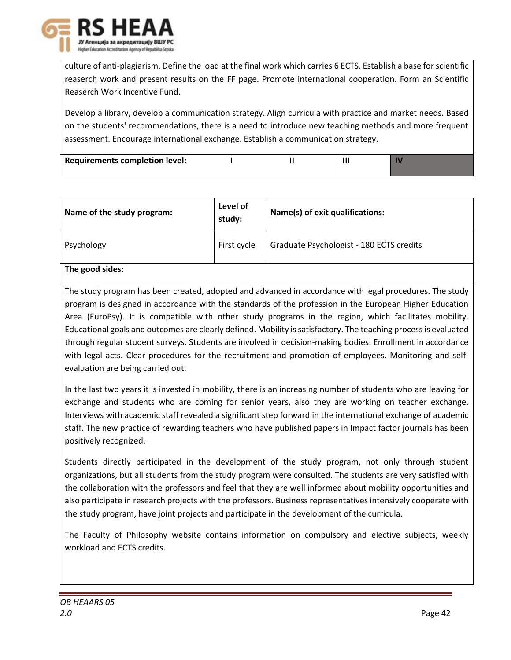

culture of anti-plagiarism. Define the load at the final work which carries 6 ECTS. Establish a base for scientific reaserch work and present results on the FF page. Promote international cooperation. Form an Scientific Reaserch Work Incentive Fund.

Develop a library, develop a communication strategy. Align curricula with practice and market needs. Based on the students' recommendations, there is a need to introduce new teaching methods and more frequent assessment. Encourage international exchange. Establish a communication strategy.

| <b>Requirements completion level:</b> |  |  |
|---------------------------------------|--|--|
|                                       |  |  |

| Name of the study program: | Level of<br>study: | Name(s) of exit qualifications:          |
|----------------------------|--------------------|------------------------------------------|
| Psychology                 | First cycle        | Graduate Psychologist - 180 ECTS credits |
|                            |                    |                                          |

# **The good sides:**

The study program has been created, adopted and advanced in accordance with legal procedures. The study program is designed in accordance with the standards of the profession in the European Higher Education Area (EuroPsy). It is compatible with other study programs in the region, which facilitates mobility. Educational goals and outcomes are clearly defined. Mobility is satisfactory. The teaching process is evaluated through regular student surveys. Students are involved in decision-making bodies. Enrollment in accordance with legal acts. Clear procedures for the recruitment and promotion of employees. Monitoring and selfevaluation are being carried out.

In the last two years it is invested in mobility, there is an increasing number of students who are leaving for exchange and students who are coming for senior years, also they are working on teacher exchange. Interviews with academic staff revealed a significant step forward in the international exchange of academic staff. The new practice of rewarding teachers who have published papers in Impact factor journals has been positively recognized.

Students directly participated in the development of the study program, not only through student organizations, but all students from the study program were consulted. The students are very satisfied with the collaboration with the professors and feel that they are well informed about mobility opportunities and also participate in research projects with the professors. Business representatives intensively cooperate with the study program, have joint projects and participate in the development of the curricula.

The Faculty of Philosophy website contains information on compulsory and elective subjects, weekly workload and ECTS credits.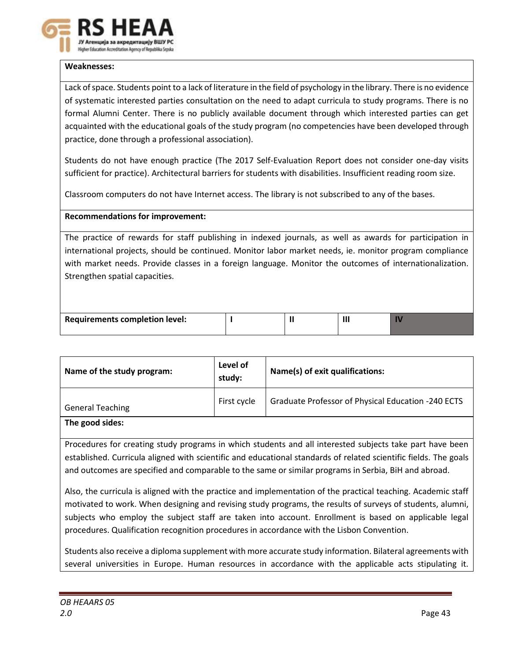

# **Weaknesses:**

Lack of space. Students point to a lack of literature in the field of psychology in the library. There is no evidence of systematic interested parties consultation on the need to adapt curricula to study programs. There is no formal Alumni Center. There is no publicly available document through which interested parties can get acquainted with the educational goals of the study program (no competencies have been developed through practice, done through a professional association).

Students do not have enough practice (The 2017 Self-Evaluation Report does not consider one-day visits sufficient for practice). Architectural barriers for students with disabilities. Insufficient reading room size.

Classroom computers do not have Internet access. The library is not subscribed to any of the bases.

# **Recommendations for improvement:**

The practice of rewards for staff publishing in indexed journals, as well as awards for participation in international projects, should be continued. Monitor labor market needs, ie. monitor program compliance with market needs. Provide classes in a foreign language. Monitor the outcomes of internationalization. Strengthen spatial capacities.

| Requirements completion level: |  |  |
|--------------------------------|--|--|
|                                |  |  |

| Name of the study program: | Level of<br>study: | Name(s) of exit qualifications:                    |
|----------------------------|--------------------|----------------------------------------------------|
| <b>General Teaching</b>    | First cycle        | Graduate Professor of Physical Education -240 ECTS |
| The good sides:            |                    |                                                    |

Procedures for creating study programs in which students and all interested subjects take part have been established. Curricula aligned with scientific and educational standards of related scientific fields. The goals and outcomes are specified and comparable to the same or similar programs in Serbia, BiH and abroad.

Also, the curricula is aligned with the practice and implementation of the practical teaching. Academic staff motivated to work. When designing and revising study programs, the results of surveys of students, alumni, subjects who employ the subject staff are taken into account. Enrollment is based on applicable legal procedures. Qualification recognition procedures in accordance with the Lisbon Convention.

Students also receive a diploma supplement with more accurate study information. Bilateral agreements with several universities in Europe. Human resources in accordance with the applicable acts stipulating it.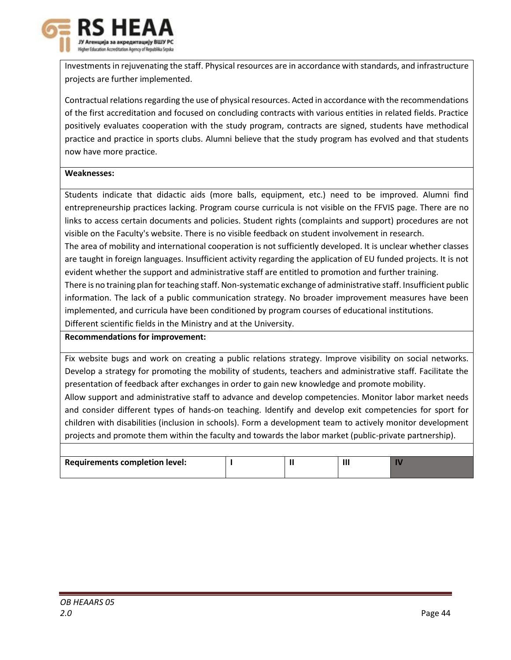

Investments in rejuvenating the staff. Physical resources are in accordance with standards, and infrastructure projects are further implemented.

Contractual relations regarding the use of physical resources. Acted in accordance with the recommendations of the first accreditation and focused on concluding contracts with various entities in related fields. Practice positively evaluates cooperation with the study program, contracts are signed, students have methodical practice and practice in sports clubs. Alumni believe that the study program has evolved and that students now have more practice.

# **Weaknesses:**

Students indicate that didactic aids (more balls, equipment, etc.) need to be improved. Alumni find entrepreneurship practices lacking. Program course curricula is not visible on the FFVIS page. There are no links to access certain documents and policies. Student rights (complaints and support) procedures are not visible on the Faculty's website. There is no visible feedback on student involvement in research.

The area of mobility and international cooperation is not sufficiently developed. It is unclear whether classes are taught in foreign languages. Insufficient activity regarding the application of EU funded projects. It is not evident whether the support and administrative staff are entitled to promotion and further training.

There is no training plan for teaching staff. Non-systematic exchange of administrative staff. Insufficient public information. The lack of a public communication strategy. No broader improvement measures have been implemented, and curricula have been conditioned by program courses of educational institutions.

Different scientific fields in the Ministry and at the University.

# **Recommendations for improvement:**

Fix website bugs and work on creating a public relations strategy. Improve visibility on social networks. Develop a strategy for promoting the mobility of students, teachers and administrative staff. Facilitate the presentation of feedback after exchanges in order to gain new knowledge and promote mobility.

Allow support and administrative staff to advance and develop competencies. Monitor labor market needs and consider different types of hands-on teaching. Identify and develop exit competencies for sport for children with disabilities (inclusion in schools). Form a development team to actively monitor development projects and promote them within the faculty and towards the labor market (public-private partnership).

| <b>Requirements completion level:</b> |  |  |
|---------------------------------------|--|--|
|                                       |  |  |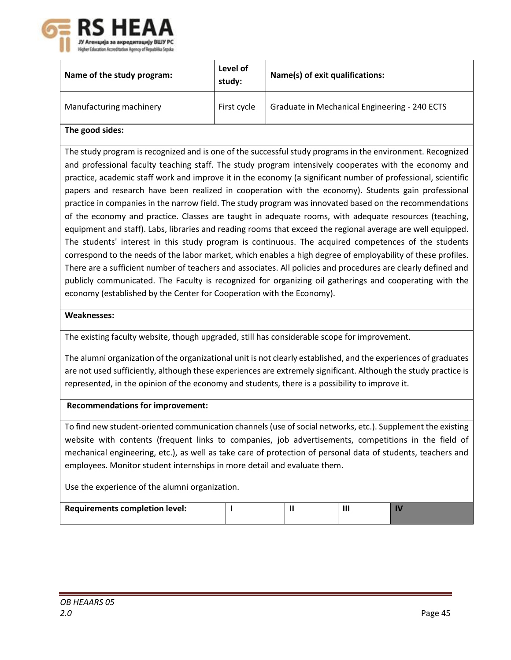

| Name of the study program:                                                                                    | Level of<br>study: | Name(s) of exit qualifications:                                                                            |  |  |  |
|---------------------------------------------------------------------------------------------------------------|--------------------|------------------------------------------------------------------------------------------------------------|--|--|--|
| Manufacturing machinery                                                                                       | First cycle        | Graduate in Mechanical Engineering - 240 ECTS                                                              |  |  |  |
| The good sides:                                                                                               |                    |                                                                                                            |  |  |  |
|                                                                                                               |                    | The study program is recognized and is one of the successful study programs in the environment. Recognized |  |  |  |
|                                                                                                               |                    | and professional faculty teaching staff. The study program intensively cooperates with the economy and     |  |  |  |
| practice, academic staff work and improve it in the economy (a significant number of professional, scientific |                    |                                                                                                            |  |  |  |
| papers and research have been realized in cooperation with the economy). Students gain professional           |                    |                                                                                                            |  |  |  |
|                                                                                                               |                    | practice in companies in the narrow field. The study program was innovated based on the recommendations    |  |  |  |
| of the economy and practice. Classes are taught in adequate rooms, with adequate resources (teaching,         |                    |                                                                                                            |  |  |  |
| equipment and staff). Labs, libraries and reading rooms that exceed the regional average are well equipped.   |                    |                                                                                                            |  |  |  |
| The students' interest in this study program is continuous. The acquired competences of the students          |                    |                                                                                                            |  |  |  |
| correspond to the needs of the labor market, which enables a high degree of employability of these profiles.  |                    |                                                                                                            |  |  |  |

There are a sufficient number of teachers and associates. All policies and procedures are clearly defined and publicly communicated. The Faculty is recognized for organizing oil gatherings and cooperating with the economy (established by the Center for Cooperation with the Economy).

# **Weaknesses:**

The existing faculty website, though upgraded, still has considerable scope for improvement.

The alumni organization of the organizational unit is not clearly established, and the experiences of graduates are not used sufficiently, although these experiences are extremely significant. Although the study practice is represented, in the opinion of the economy and students, there is a possibility to improve it.

#### **Recommendations for improvement:**

To find new student-oriented communication channels (use of social networks, etc.). Supplement the existing website with contents (frequent links to companies, job advertisements, competitions in the field of mechanical engineering, etc.), as well as take care of protection of personal data of students, teachers and employees. Monitor student internships in more detail and evaluate them.

Use the experience of the alumni organization.

| <b>Requirements completion level:</b> |  |  |
|---------------------------------------|--|--|
|                                       |  |  |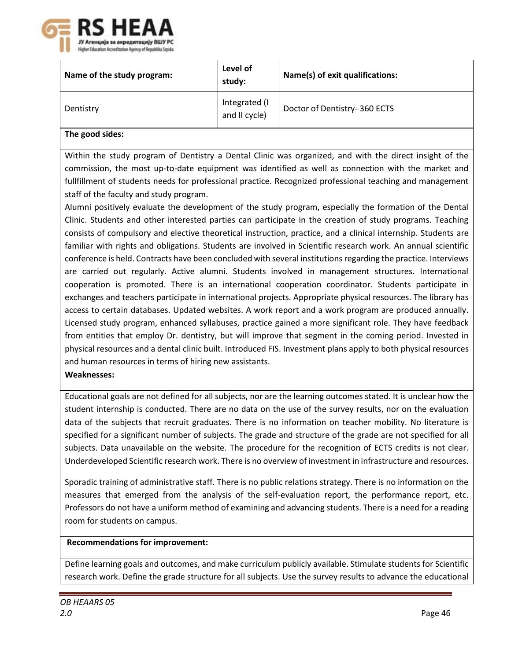

| Name of the study program: | Level of<br>study:             | Name(s) of exit qualifications: |
|----------------------------|--------------------------------|---------------------------------|
| Dentistry                  | Integrated (I<br>and II cycle) | Doctor of Dentistry-360 ECTS    |
| المماليات المحاجم المطالق  |                                |                                 |

# **The good sides:**

Within the study program of Dentistry a Dental Clinic was organized, and with the direct insight of the commission, the most up-to-date equipment was identified as well as connection with the market and fullfillment of students needs for professional practice. Recognized professional teaching and management staff of the faculty and study program.

Alumni positively evaluate the development of the study program, especially the formation of the Dental Clinic. Students and other interested parties can participate in the creation of study programs. Teaching consists of compulsory and elective theoretical instruction, practice, and a clinical internship. Students are familiar with rights and obligations. Students are involved in Scientific research work. An annual scientific conference is held. Contracts have been concluded with several institutions regarding the practice. Interviews are carried out regularly. Active alumni. Students involved in management structures. International cooperation is promoted. There is an international cooperation coordinator. Students participate in exchanges and teachers participate in international projects. Appropriate physical resources. The library has access to certain databases. Updated websites. A work report and a work program are produced annually. Licensed study program, enhanced syllabuses, practice gained a more significant role. They have feedback from entities that employ Dr. dentistry, but will improve that segment in the coming period. Invested in physical resources and a dental clinic built. Introduced FIS. Investment plans apply to both physical resources and human resources in terms of hiring new assistants.

#### **Weaknesses:**

Educational goals are not defined for all subjects, nor are the learning outcomes stated. It is unclear how the student internship is conducted. There are no data on the use of the survey results, nor on the evaluation data of the subjects that recruit graduates. There is no information on teacher mobility. No literature is specified for a significant number of subjects. The grade and structure of the grade are not specified for all subjects. Data unavailable on the website. The procedure for the recognition of ECTS credits is not clear. Underdeveloped Scientific research work. There is no overview of investment in infrastructure and resources.

Sporadic training of administrative staff. There is no public relations strategy. There is no information on the measures that emerged from the analysis of the self-evaluation report, the performance report, etc. Professors do not have a uniform method of examining and advancing students. There is a need for a reading room for students on campus.

#### **Recommendations for improvement:**

Define learning goals and outcomes, and make curriculum publicly available. Stimulate students for Scientific research work. Define the grade structure for all subjects. Use the survey results to advance the educational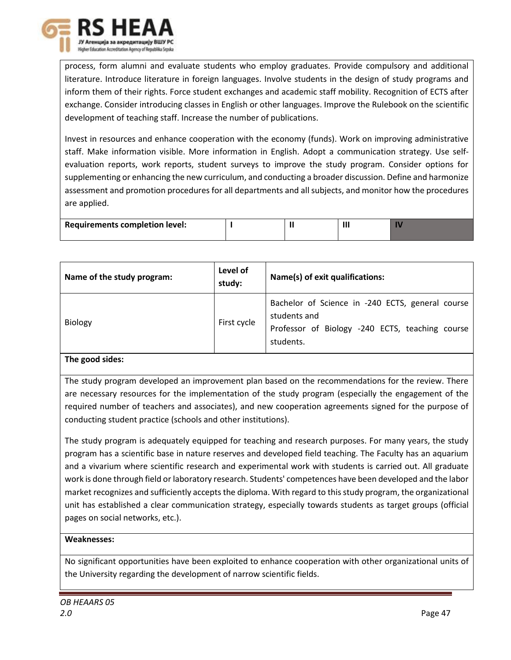

process, form alumni and evaluate students who employ graduates. Provide compulsory and additional literature. Introduce literature in foreign languages. Involve students in the design of study programs and inform them of their rights. Force student exchanges and academic staff mobility. Recognition of ECTS after exchange. Consider introducing classes in English or other languages. Improve the Rulebook on the scientific development of teaching staff. Increase the number of publications.

Invest in resources and enhance cooperation with the economy (funds). Work on improving administrative staff. Make information visible. More information in English. Adopt a communication strategy. Use selfevaluation reports, work reports, student surveys to improve the study program. Consider options for supplementing or enhancing the new curriculum, and conducting a broader discussion. Define and harmonize assessment and promotion procedures for all departments and all subjects, and monitor how the procedures are applied.

| <b>Requirements completion level:</b> |  |  |
|---------------------------------------|--|--|
|                                       |  |  |

| Bachelor of Science in -240 ECTS, general course<br>students and<br><b>Biology</b><br>First cycle<br>Professor of Biology -240 ECTS, teaching course<br>students. | Name of the study program: | Level of<br>study: | Name(s) of exit qualifications: |
|-------------------------------------------------------------------------------------------------------------------------------------------------------------------|----------------------------|--------------------|---------------------------------|
|                                                                                                                                                                   |                            |                    |                                 |

# **The good sides:**

The study program developed an improvement plan based on the recommendations for the review. There are necessary resources for the implementation of the study program (especially the engagement of the required number of teachers and associates), and new cooperation agreements signed for the purpose of conducting student practice (schools and other institutions).

The study program is adequately equipped for teaching and research purposes. For many years, the study program has a scientific base in nature reserves and developed field teaching. The Faculty has an aquarium and a vivarium where scientific research and experimental work with students is carried out. All graduate work is done through field or laboratory research. Students' competences have been developed and the labor market recognizes and sufficiently accepts the diploma. With regard to this study program, the organizational unit has established a clear communication strategy, especially towards students as target groups (official pages on social networks, etc.).

# **Weaknesses:**

No significant opportunities have been exploited to enhance cooperation with other organizational units of the University regarding the development of narrow scientific fields.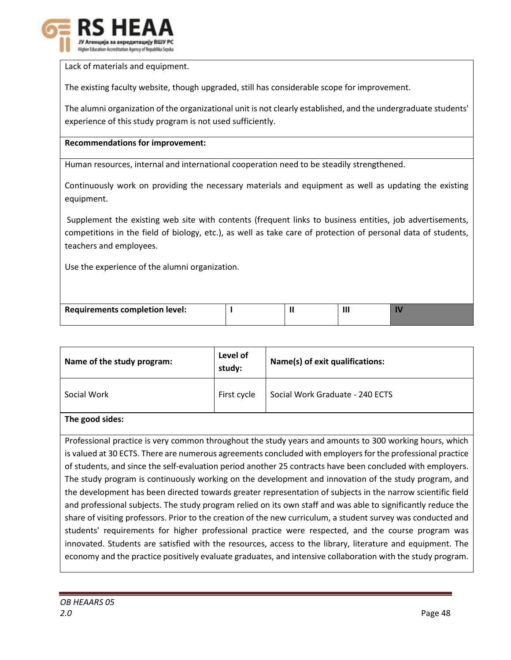

Lack of materials and equipment.

The existing faculty website, though upgraded, still has considerable scope for improvement.

The alumni organization of the organizational unit is not clearly established, and the undergraduate students' experience of this study program is not used sufficiently.

#### **Recommendations for improvement:**

Human resources, internal and international cooperation need to be steadily strengthened.

Continuously work on providing the necessary materials and equipment as well as updating the existing equipment.

Supplement the existing web site with contents (frequent links to business entities, job advertisements, competitions in the field of biology, etc.), as well as take care of protection of personal data of students, teachers and employees.

Use the experience of the alumni organization.

| Requirements completion level: |  |  |  |
|--------------------------------|--|--|--|
|--------------------------------|--|--|--|

| Name of the study program: | Level of<br>study: | Name(s) of exit qualifications: |
|----------------------------|--------------------|---------------------------------|
| Social Work                | First cycle        | Social Work Graduate - 240 ECTS |

# **The good sides:**

Professional practice is very common throughout the study years and amounts to 300 working hours, which is valued at 30 ECTS. There are numerous agreements concluded with employers for the professional practice of students, and since the self-evaluation period another 25 contracts have been concluded with employers. The study program is continuously working on the development and innovation of the study program, and the development has been directed towards greater representation of subjects in the narrow scientific field and professional subjects. The study program relied on its own staff and was able to significantly reduce the share of visiting professors. Prior to the creation of the new curriculum, a student survey was conducted and students' requirements for higher professional practice were respected, and the course program was innovated. Students are satisfied with the resources, access to the library, literature and equipment. The economy and the practice positively evaluate graduates, and intensive collaboration with the study program.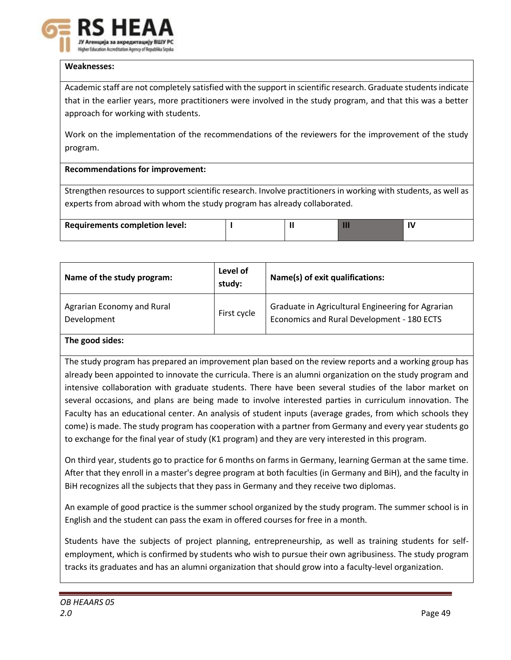

# **Weaknesses:**

Academic staff are not completely satisfied with the support in scientific research. Graduate students indicate that in the earlier years, more practitioners were involved in the study program, and that this was a better approach for working with students.

Work on the implementation of the recommendations of the reviewers for the improvement of the study program.

# **Recommendations for improvement:**

Strengthen resources to support scientific research. Involve practitioners in working with students, as well as experts from abroad with whom the study program has already collaborated.

| <b>Requirements completion level:</b> |  |  |  |  |
|---------------------------------------|--|--|--|--|
|---------------------------------------|--|--|--|--|

| Name of the study program:                | Level of<br>study: | Name(s) of exit qualifications:                                                                 |
|-------------------------------------------|--------------------|-------------------------------------------------------------------------------------------------|
| Agrarian Economy and Rural<br>Development | First cycle        | Graduate in Agricultural Engineering for Agrarian<br>Economics and Rural Development - 180 ECTS |
| The exact states                          |                    |                                                                                                 |

# **The good sides:**

The study program has prepared an improvement plan based on the review reports and a working group has already been appointed to innovate the curricula. There is an alumni organization on the study program and intensive collaboration with graduate students. There have been several studies of the labor market on several occasions, and plans are being made to involve interested parties in curriculum innovation. The Faculty has an educational center. An analysis of student inputs (average grades, from which schools they come) is made. The study program has cooperation with a partner from Germany and every year students go to exchange for the final year of study (K1 program) and they are very interested in this program.

On third year, students go to practice for 6 months on farms in Germany, learning German at the same time. After that they enroll in a master's degree program at both faculties (in Germany and BiH), and the faculty in BiH recognizes all the subjects that they pass in Germany and they receive two diplomas.

An example of good practice is the summer school organized by the study program. The summer school is in English and the student can pass the exam in offered courses for free in a month.

Students have the subjects of project planning, entrepreneurship, as well as training students for selfemployment, which is confirmed by students who wish to pursue their own agribusiness. The study program tracks its graduates and has an alumni organization that should grow into a faculty-level organization.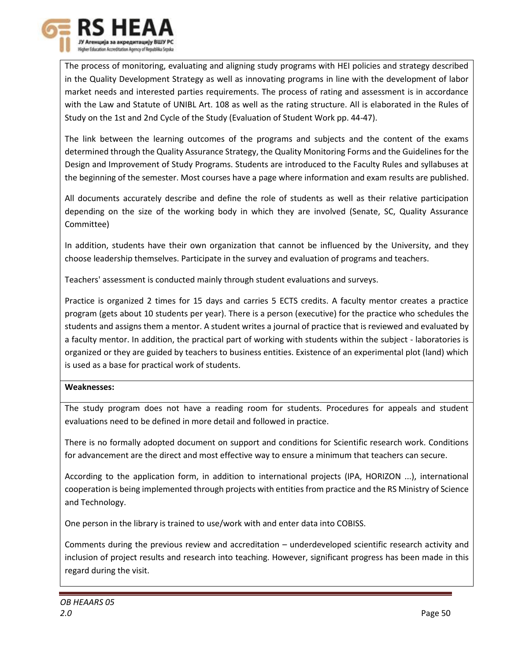

The process of monitoring, evaluating and aligning study programs with HEI policies and strategy described in the Quality Development Strategy as well as innovating programs in line with the development of labor market needs and interested parties requirements. The process of rating and assessment is in accordance with the Law and Statute of UNIBL Art. 108 as well as the rating structure. All is elaborated in the Rules of Study on the 1st and 2nd Cycle of the Study (Evaluation of Student Work pp. 44-47).

The link between the learning outcomes of the programs and subjects and the content of the exams determined through the Quality Assurance Strategy, the Quality Monitoring Forms and the Guidelines for the Design and Improvement of Study Programs. Students are introduced to the Faculty Rules and syllabuses at the beginning of the semester. Most courses have a page where information and exam results are published.

All documents accurately describe and define the role of students as well as their relative participation depending on the size of the working body in which they are involved (Senate, SC, Quality Assurance Committee)

In addition, students have their own organization that cannot be influenced by the University, and they choose leadership themselves. Participate in the survey and evaluation of programs and teachers.

Teachers' assessment is conducted mainly through student evaluations and surveys.

Practice is organized 2 times for 15 days and carries 5 ECTS credits. A faculty mentor creates a practice program (gets about 10 students per year). There is a person (executive) for the practice who schedules the students and assigns them a mentor. A student writes a journal of practice that is reviewed and evaluated by a faculty mentor. In addition, the practical part of working with students within the subject - laboratories is organized or they are guided by teachers to business entities. Existence of an experimental plot (land) which is used as a base for practical work of students.

# **Weaknesses:**

The study program does not have a reading room for students. Procedures for appeals and student evaluations need to be defined in more detail and followed in practice.

There is no formally adopted document on support and conditions for Scientific research work. Conditions for advancement are the direct and most effective way to ensure a minimum that teachers can secure.

According to the application form, in addition to international projects (IPA, HORIZON ...), international cooperation is being implemented through projects with entities from practice and the RS Ministry of Science and Technology.

One person in the library is trained to use/work with and enter data into COBISS.

Comments during the previous review and accreditation – underdeveloped scientific research activity and inclusion of project results and research into teaching. However, significant progress has been made in this regard during the visit.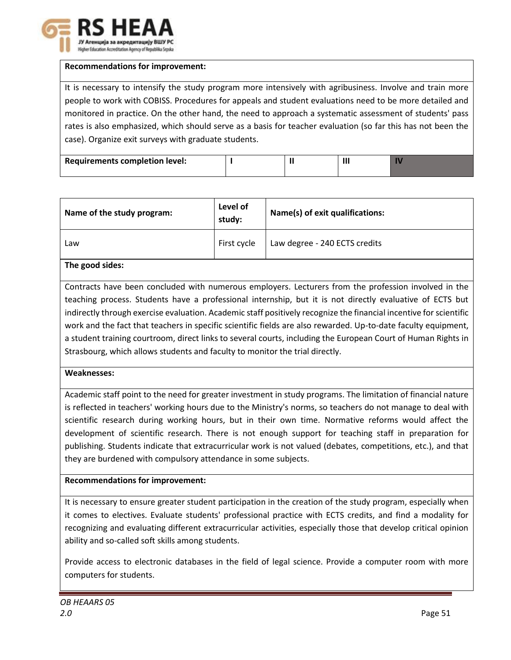

#### **Recommendations for improvement:**

It is necessary to intensify the study program more intensively with agribusiness. Involve and train more people to work with COBISS. Procedures for appeals and student evaluations need to be more detailed and monitored in practice. On the other hand, the need to approach a systematic assessment of students' pass rates is also emphasized, which should serve as a basis for teacher evaluation (so far this has not been the case). Organize exit surveys with graduate students.

| <b>Requirements completion level:</b> |  | Ш |  |
|---------------------------------------|--|---|--|
|                                       |  |   |  |

| Name of the study program: | Level of<br>study: | Name(s) of exit qualifications: |
|----------------------------|--------------------|---------------------------------|
| Law                        | First cycle        | Law degree - 240 ECTS credits   |

# **The good sides:**

Contracts have been concluded with numerous employers. Lecturers from the profession involved in the teaching process. Students have a professional internship, but it is not directly evaluative of ECTS but indirectly through exercise evaluation. Academic staff positively recognize the financial incentive for scientific work and the fact that teachers in specific scientific fields are also rewarded. Up-to-date faculty equipment, a student training courtroom, direct links to several courts, including the European Court of Human Rights in Strasbourg, which allows students and faculty to monitor the trial directly.

#### **Weaknesses:**

Academic staff point to the need for greater investment in study programs. The limitation of financial nature is reflected in teachers' working hours due to the Ministry's norms, so teachers do not manage to deal with scientific research during working hours, but in their own time. Normative reforms would affect the development of scientific research. There is not enough support for teaching staff in preparation for publishing. Students indicate that extracurricular work is not valued (debates, competitions, etc.), and that they are burdened with compulsory attendance in some subjects.

# **Recommendations for improvement:**

It is necessary to ensure greater student participation in the creation of the study program, especially when it comes to electives. Evaluate students' professional practice with ECTS credits, and find a modality for recognizing and evaluating different extracurricular activities, especially those that develop critical opinion ability and so-called soft skills among students.

Provide access to electronic databases in the field of legal science. Provide a computer room with more computers for students.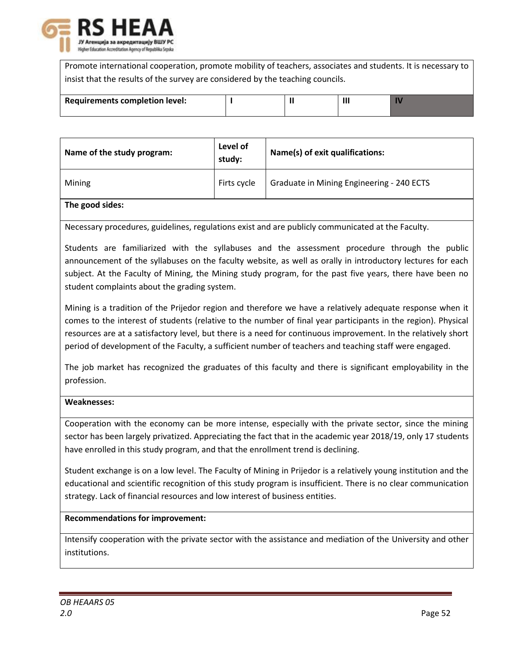

Promote international cooperation, promote mobility of teachers, associates and students. It is necessary to insist that the results of the survey are considered by the teaching councils.

| <b>Requirements completion level:</b> |  | 11 |  |
|---------------------------------------|--|----|--|
|                                       |  |    |  |

| Name of the study program: | Level of<br>study: | Name(s) of exit qualifications:           |
|----------------------------|--------------------|-------------------------------------------|
| Mining                     | Firts cycle        | Graduate in Mining Engineering - 240 ECTS |
| The good sides:            |                    |                                           |

Necessary procedures, guidelines, regulations exist and are publicly communicated at the Faculty.

Students are familiarized with the syllabuses and the assessment procedure through the public announcement of the syllabuses on the faculty website, as well as orally in introductory lectures for each subject. At the Faculty of Mining, the Mining study program, for the past five years, there have been no student complaints about the grading system.

Mining is a tradition of the Prijedor region and therefore we have a relatively adequate response when it comes to the interest of students (relative to the number of final year participants in the region). Physical resources are at a satisfactory level, but there is a need for continuous improvement. In the relatively short period of development of the Faculty, a sufficient number of teachers and teaching staff were engaged.

The job market has recognized the graduates of this faculty and there is significant employability in the profession.

# **Weaknesses:**

Cooperation with the economy can be more intense, especially with the private sector, since the mining sector has been largely privatized. Appreciating the fact that in the academic year 2018/19, only 17 students have enrolled in this study program, and that the enrollment trend is declining.

Student exchange is on a low level. The Faculty of Mining in Prijedor is a relatively young institution and the educational and scientific recognition of this study program is insufficient. There is no clear communication strategy. Lack of financial resources and low interest of business entities.

# **Recommendations for improvement:**

Intensify cooperation with the private sector with the assistance and mediation of the University and other institutions.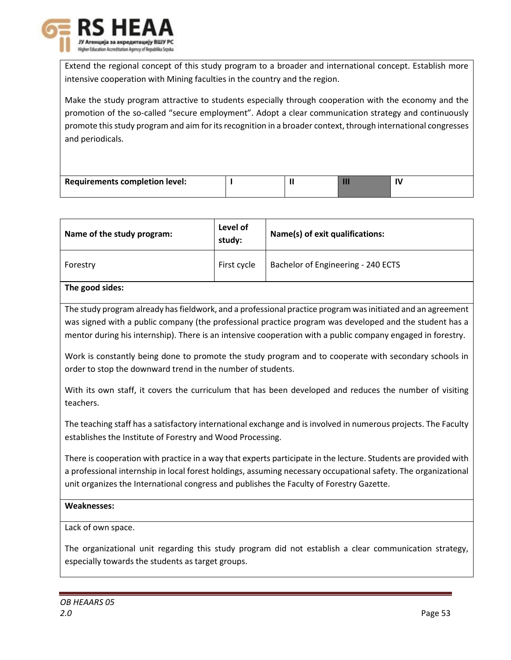

Extend the regional concept of this study program to a broader and international concept. Establish more intensive cooperation with Mining faculties in the country and the region.

Make the study program attractive to students especially through cooperation with the economy and the promotion of the so-called "secure employment". Adopt a clear communication strategy and continuously promote this study program and aim for its recognition in a broader context, through international congresses and periodicals.

| Requirements completion level: |  |  |
|--------------------------------|--|--|

| Name of the study program: | Level of<br>study: | Name(s) of exit qualifications:    |
|----------------------------|--------------------|------------------------------------|
| Forestry                   | First cycle        | Bachelor of Engineering - 240 ECTS |

# **The good sides:**

The study program already has fieldwork, and a professional practice program was initiated and an agreement was signed with a public company (the professional practice program was developed and the student has a mentor during his internship). There is an intensive cooperation with a public company engaged in forestry.

Work is constantly being done to promote the study program and to cooperate with secondary schools in order to stop the downward trend in the number of students.

With its own staff, it covers the curriculum that has been developed and reduces the number of visiting teachers.

The teaching staff has a satisfactory international exchange and is involved in numerous projects. The Faculty establishes the Institute of Forestry and Wood Processing.

There is cooperation with practice in a way that experts participate in the lecture. Students are provided with a professional internship in local forest holdings, assuming necessary occupational safety. The organizational unit organizes the International congress and publishes the Faculty of Forestry Gazette.

# **Weaknesses:**

Lack of own space.

The organizational unit regarding this study program did not establish a clear communication strategy, especially towards the students as target groups.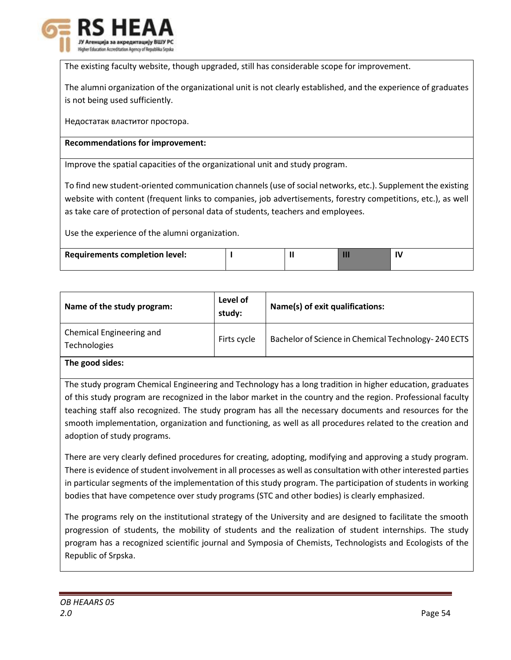

The existing faculty website, though upgraded, still has considerable scope for improvement.

The alumni organization of the organizational unit is not clearly established, and the experience of graduates is not being used sufficiently.

Недостатак властитог простора.

# **Recommendations for improvement:**

Improve the spatial capacities of the organizational unit and study program.

To find new student-oriented communication channels (use of social networks, etc.). Supplement the existing website with content (frequent links to companies, job advertisements, forestry competitions, etc.), as well as take care of protection of personal data of students, teachers and employees.

Use the experience of the alumni organization.

| <b>Requirements completion level:</b> |
|---------------------------------------|
|---------------------------------------|

| Name of the study program:               | Level of<br>study: | Name(s) of exit qualifications:                     |
|------------------------------------------|--------------------|-----------------------------------------------------|
| Chemical Engineering and<br>Technologies | Firts cycle        | Bachelor of Science in Chemical Technology-240 ECTS |

**The good sides:**

The study program Chemical Engineering and Technology has a long tradition in higher education, graduates of this study program are recognized in the labor market in the country and the region. Professional faculty teaching staff also recognized. The study program has all the necessary documents and resources for the smooth implementation, organization and functioning, as well as all procedures related to the creation and adoption of study programs.

There are very clearly defined procedures for creating, adopting, modifying and approving a study program. There is evidence of student involvement in all processes as well as consultation with other interested parties in particular segments of the implementation of this study program. The participation of students in working bodies that have competence over study programs (STC and other bodies) is clearly emphasized.

The programs rely on the institutional strategy of the University and are designed to facilitate the smooth progression of students, the mobility of students and the realization of student internships. The study program has a recognized scientific journal and Symposia of Chemists, Technologists and Ecologists of the Republic of Srpska.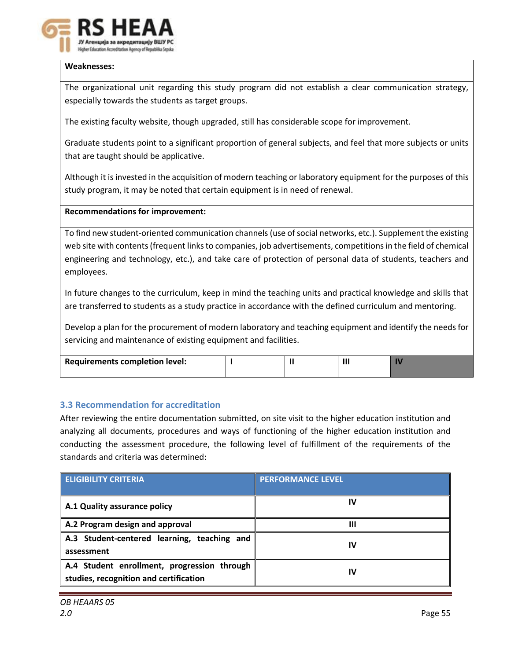

# **Weaknesses:**

The organizational unit regarding this study program did not establish a clear communication strategy, especially towards the students as target groups.

The existing faculty website, though upgraded, still has considerable scope for improvement.

Graduate students point to a significant proportion of general subjects, and feel that more subjects or units that are taught should be applicative.

Although it is invested in the acquisition of modern teaching or laboratory equipment for the purposes of this study program, it may be noted that certain equipment is in need of renewal.

# **Recommendations for improvement:**

To find new student-oriented communication channels (use of social networks, etc.). Supplement the existing web site with contents (frequent links to companies, job advertisements, competitions in the field of chemical engineering and technology, etc.), and take care of protection of personal data of students, teachers and employees.

In future changes to the curriculum, keep in mind the teaching units and practical knowledge and skills that are transferred to students as a study practice in accordance with the defined curriculum and mentoring.

Develop a plan for the procurement of modern laboratory and teaching equipment and identify the needs for servicing and maintenance of existing equipment and facilities.

| Requirements completion level: |  |  |
|--------------------------------|--|--|
|                                |  |  |

# **3.3 Recommendation for accreditation**

After reviewing the entire documentation submitted, on site visit to the higher education institution and analyzing all documents, procedures and ways of functioning of the higher education institution and conducting the assessment procedure, the following level of fulfillment of the requirements of the standards and criteria was determined:

| <b>ELIGIBILITY CRITERIA</b>                                                           | <b>PERFORMANCE LEVEL</b> |
|---------------------------------------------------------------------------------------|--------------------------|
| A.1 Quality assurance policy                                                          | IV                       |
| A.2 Program design and approval                                                       | Ш                        |
| A.3 Student-centered learning, teaching and<br>assessment                             | IV                       |
| A.4 Student enrollment, progression through<br>studies, recognition and certification | IV                       |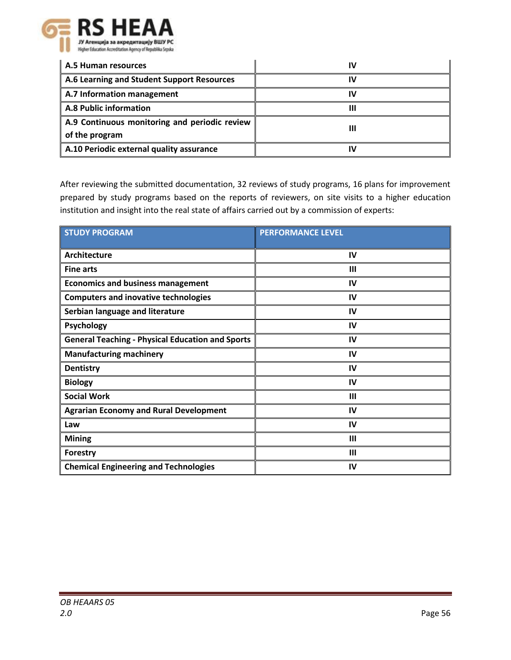

| A.5 Human resources                           |  |  |
|-----------------------------------------------|--|--|
| A.6 Learning and Student Support Resources    |  |  |
| A.7 Information management                    |  |  |
| <b>A.8 Public information</b>                 |  |  |
| A.9 Continuous monitoring and periodic review |  |  |
| of the program                                |  |  |
| A.10 Periodic external quality assurance      |  |  |

After reviewing the submitted documentation, 32 reviews of study programs, 16 plans for improvement prepared by study programs based on the reports of reviewers, on site visits to a higher education institution and insight into the real state of affairs carried out by a commission of experts:

| <b>STUDY PROGRAM</b>                                    | <b>PERFORMANCE LEVEL</b> |
|---------------------------------------------------------|--------------------------|
| <b>Architecture</b>                                     | IV                       |
| <b>Fine arts</b>                                        | $\mathbf{m}$             |
| <b>Economics and business management</b>                | IV                       |
| <b>Computers and inovative technologies</b>             | IV                       |
| Serbian language and literature                         | IV                       |
| Psychology                                              | IV                       |
| <b>General Teaching - Physical Education and Sports</b> | IV                       |
| <b>Manufacturing machinery</b>                          | IV                       |
| <b>Dentistry</b>                                        | IV                       |
| <b>Biology</b>                                          | IV                       |
| <b>Social Work</b>                                      | $\mathbf{III}$           |
| <b>Agrarian Economy and Rural Development</b>           | IV                       |
| Law                                                     | IV                       |
| <b>Mining</b>                                           | $\mathbf{III}$           |
| <b>Forestry</b>                                         | $\mathbf{III}$           |
| <b>Chemical Engineering and Technologies</b>            | IV                       |